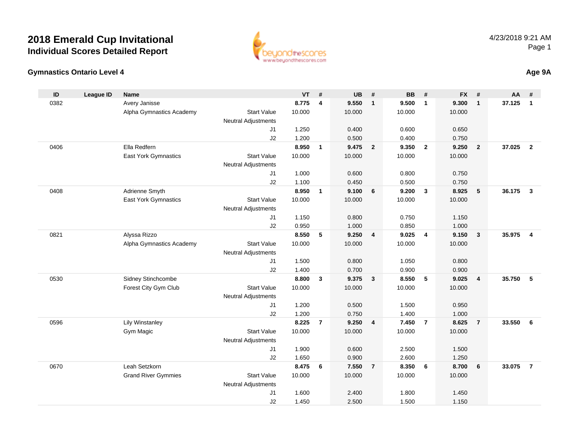

### **Gymnastics Ontario Level 4**

|  | Age 9A |
|--|--------|
|--|--------|

| Avery Janisse<br>0382<br>8.775<br>9.550<br>9.500<br>9.300<br>37.125<br>4<br>$\mathbf{1}$<br>$\mathbf{1}$<br>$\mathbf{1}$<br><b>Start Value</b><br>10.000<br>10.000<br>10.000<br>Alpha Gymnastics Academy<br>10.000<br><b>Neutral Adjustments</b><br>1.250<br>0.400<br>0.600<br>0.650<br>J1<br>J2<br>1.200<br>0.500<br>0.400<br>0.750<br>Ella Redfern<br>9.475<br>37.025<br>0406<br>8.950<br>$\overline{\mathbf{2}}$<br>9.350<br>$\overline{2}$<br>9.250<br>$\overline{2}$<br>$\mathbf{1}$<br>East York Gymnastics<br><b>Start Value</b><br>10.000<br>10.000<br>10.000<br>10.000<br><b>Neutral Adjustments</b><br>1.000<br>0.600<br>0.800<br>J1<br>0.750<br>J2<br>1.100<br>0.450<br>0.500<br>0.750<br>Adrienne Smyth<br>8.950<br>9.100<br>9.200<br>8.925<br>$\sqrt{5}$<br>36.175<br>0408<br>$\mathbf{1}$<br>6<br>$\mathbf{3}$<br>$\mathbf{3}$<br>East York Gymnastics<br><b>Start Value</b><br>10.000<br>10.000<br>10.000<br>10.000 | ID | <b>League ID</b> | <b>Name</b> |                            | <b>VT</b> | # | <b>UB</b> | # | <b>BB</b> | # | <b>FX</b> | # | <b>AA</b> | #              |
|------------------------------------------------------------------------------------------------------------------------------------------------------------------------------------------------------------------------------------------------------------------------------------------------------------------------------------------------------------------------------------------------------------------------------------------------------------------------------------------------------------------------------------------------------------------------------------------------------------------------------------------------------------------------------------------------------------------------------------------------------------------------------------------------------------------------------------------------------------------------------------------------------------------------------------|----|------------------|-------------|----------------------------|-----------|---|-----------|---|-----------|---|-----------|---|-----------|----------------|
|                                                                                                                                                                                                                                                                                                                                                                                                                                                                                                                                                                                                                                                                                                                                                                                                                                                                                                                                    |    |                  |             |                            |           |   |           |   |           |   |           |   |           | $\mathbf{1}$   |
|                                                                                                                                                                                                                                                                                                                                                                                                                                                                                                                                                                                                                                                                                                                                                                                                                                                                                                                                    |    |                  |             |                            |           |   |           |   |           |   |           |   |           |                |
|                                                                                                                                                                                                                                                                                                                                                                                                                                                                                                                                                                                                                                                                                                                                                                                                                                                                                                                                    |    |                  |             |                            |           |   |           |   |           |   |           |   |           |                |
|                                                                                                                                                                                                                                                                                                                                                                                                                                                                                                                                                                                                                                                                                                                                                                                                                                                                                                                                    |    |                  |             |                            |           |   |           |   |           |   |           |   |           |                |
|                                                                                                                                                                                                                                                                                                                                                                                                                                                                                                                                                                                                                                                                                                                                                                                                                                                                                                                                    |    |                  |             |                            |           |   |           |   |           |   |           |   |           |                |
|                                                                                                                                                                                                                                                                                                                                                                                                                                                                                                                                                                                                                                                                                                                                                                                                                                                                                                                                    |    |                  |             |                            |           |   |           |   |           |   |           |   |           | $\overline{2}$ |
|                                                                                                                                                                                                                                                                                                                                                                                                                                                                                                                                                                                                                                                                                                                                                                                                                                                                                                                                    |    |                  |             |                            |           |   |           |   |           |   |           |   |           |                |
|                                                                                                                                                                                                                                                                                                                                                                                                                                                                                                                                                                                                                                                                                                                                                                                                                                                                                                                                    |    |                  |             |                            |           |   |           |   |           |   |           |   |           |                |
|                                                                                                                                                                                                                                                                                                                                                                                                                                                                                                                                                                                                                                                                                                                                                                                                                                                                                                                                    |    |                  |             |                            |           |   |           |   |           |   |           |   |           |                |
|                                                                                                                                                                                                                                                                                                                                                                                                                                                                                                                                                                                                                                                                                                                                                                                                                                                                                                                                    |    |                  |             |                            |           |   |           |   |           |   |           |   |           |                |
|                                                                                                                                                                                                                                                                                                                                                                                                                                                                                                                                                                                                                                                                                                                                                                                                                                                                                                                                    |    |                  |             |                            |           |   |           |   |           |   |           |   |           |                |
|                                                                                                                                                                                                                                                                                                                                                                                                                                                                                                                                                                                                                                                                                                                                                                                                                                                                                                                                    |    |                  |             | <b>Neutral Adjustments</b> |           |   |           |   |           |   |           |   |           |                |
| 1.150<br>J <sub>1</sub><br>0.800<br>0.750<br>1.150                                                                                                                                                                                                                                                                                                                                                                                                                                                                                                                                                                                                                                                                                                                                                                                                                                                                                 |    |                  |             |                            |           |   |           |   |           |   |           |   |           |                |
| 0.950<br>J2<br>1.000<br>0.850<br>1.000                                                                                                                                                                                                                                                                                                                                                                                                                                                                                                                                                                                                                                                                                                                                                                                                                                                                                             |    |                  |             |                            |           |   |           |   |           |   |           |   |           |                |
| 8.550<br>35.975<br>Alyssa Rizzo<br>5<br>9.250<br>9.025<br>$\overline{\mathbf{4}}$<br>9.150<br>$\mathbf{3}$<br>0821<br>$\overline{4}$                                                                                                                                                                                                                                                                                                                                                                                                                                                                                                                                                                                                                                                                                                                                                                                               |    |                  |             |                            |           |   |           |   |           |   |           |   |           | $\overline{4}$ |
| Alpha Gymnastics Academy<br><b>Start Value</b><br>10.000<br>10.000<br>10.000<br>10.000                                                                                                                                                                                                                                                                                                                                                                                                                                                                                                                                                                                                                                                                                                                                                                                                                                             |    |                  |             |                            |           |   |           |   |           |   |           |   |           |                |
| <b>Neutral Adjustments</b>                                                                                                                                                                                                                                                                                                                                                                                                                                                                                                                                                                                                                                                                                                                                                                                                                                                                                                         |    |                  |             |                            |           |   |           |   |           |   |           |   |           |                |
| 1.500<br>0.800<br>1.050<br>0.800<br>J <sub>1</sub>                                                                                                                                                                                                                                                                                                                                                                                                                                                                                                                                                                                                                                                                                                                                                                                                                                                                                 |    |                  |             |                            |           |   |           |   |           |   |           |   |           |                |
| J2<br>1.400<br>0.700<br>0.900<br>0.900                                                                                                                                                                                                                                                                                                                                                                                                                                                                                                                                                                                                                                                                                                                                                                                                                                                                                             |    |                  |             |                            |           |   |           |   |           |   |           |   |           |                |
| Sidney Stinchcombe<br>5<br>35.750<br>0530<br>8.800<br>$\mathbf{3}$<br>9.375<br>$\overline{\mathbf{3}}$<br>8.550<br>9.025<br>4                                                                                                                                                                                                                                                                                                                                                                                                                                                                                                                                                                                                                                                                                                                                                                                                      |    |                  |             |                            |           |   |           |   |           |   |           |   |           | 5              |
| Forest City Gym Club<br><b>Start Value</b><br>10.000<br>10.000<br>10.000<br>10.000                                                                                                                                                                                                                                                                                                                                                                                                                                                                                                                                                                                                                                                                                                                                                                                                                                                 |    |                  |             |                            |           |   |           |   |           |   |           |   |           |                |
| <b>Neutral Adjustments</b>                                                                                                                                                                                                                                                                                                                                                                                                                                                                                                                                                                                                                                                                                                                                                                                                                                                                                                         |    |                  |             |                            |           |   |           |   |           |   |           |   |           |                |
| 1.200<br>0.500<br>1.500<br>0.950<br>J1                                                                                                                                                                                                                                                                                                                                                                                                                                                                                                                                                                                                                                                                                                                                                                                                                                                                                             |    |                  |             |                            |           |   |           |   |           |   |           |   |           |                |
| J2<br>1.200<br>0.750<br>1.400<br>1.000                                                                                                                                                                                                                                                                                                                                                                                                                                                                                                                                                                                                                                                                                                                                                                                                                                                                                             |    |                  |             |                            |           |   |           |   |           |   |           |   |           |                |
| 9.250<br>0596<br><b>Lily Winstanley</b><br>8.225<br>$\overline{7}$<br>$\overline{4}$<br>7.450<br>$\overline{7}$<br>8.625<br>$\overline{7}$<br>33.550                                                                                                                                                                                                                                                                                                                                                                                                                                                                                                                                                                                                                                                                                                                                                                               |    |                  |             |                            |           |   |           |   |           |   |           |   |           | 6              |
| Gym Magic<br><b>Start Value</b><br>10.000<br>10.000<br>10.000<br>10.000                                                                                                                                                                                                                                                                                                                                                                                                                                                                                                                                                                                                                                                                                                                                                                                                                                                            |    |                  |             |                            |           |   |           |   |           |   |           |   |           |                |
| <b>Neutral Adjustments</b><br>1.900<br>0.600<br>2.500<br>1.500<br>J1                                                                                                                                                                                                                                                                                                                                                                                                                                                                                                                                                                                                                                                                                                                                                                                                                                                               |    |                  |             |                            |           |   |           |   |           |   |           |   |           |                |
| 1.650<br>0.900<br>J2<br>2.600<br>1.250                                                                                                                                                                                                                                                                                                                                                                                                                                                                                                                                                                                                                                                                                                                                                                                                                                                                                             |    |                  |             |                            |           |   |           |   |           |   |           |   |           |                |
| 0670<br>Leah Setzkorn<br>8.475<br>6<br>7.550<br>8.350<br>$6\phantom{1}6$<br>8.700<br>$\bf 6$<br>33.075<br>$\overline{7}$                                                                                                                                                                                                                                                                                                                                                                                                                                                                                                                                                                                                                                                                                                                                                                                                           |    |                  |             |                            |           |   |           |   |           |   |           |   |           | $\overline{7}$ |
| <b>Grand River Gymmies</b><br><b>Start Value</b><br>10.000<br>10.000<br>10.000<br>10.000                                                                                                                                                                                                                                                                                                                                                                                                                                                                                                                                                                                                                                                                                                                                                                                                                                           |    |                  |             |                            |           |   |           |   |           |   |           |   |           |                |
| <b>Neutral Adjustments</b>                                                                                                                                                                                                                                                                                                                                                                                                                                                                                                                                                                                                                                                                                                                                                                                                                                                                                                         |    |                  |             |                            |           |   |           |   |           |   |           |   |           |                |
| J <sub>1</sub><br>1.600<br>2.400<br>1.800<br>1.450                                                                                                                                                                                                                                                                                                                                                                                                                                                                                                                                                                                                                                                                                                                                                                                                                                                                                 |    |                  |             |                            |           |   |           |   |           |   |           |   |           |                |
| J2<br>1.450<br>2.500<br>1.500<br>1.150                                                                                                                                                                                                                                                                                                                                                                                                                                                                                                                                                                                                                                                                                                                                                                                                                                                                                             |    |                  |             |                            |           |   |           |   |           |   |           |   |           |                |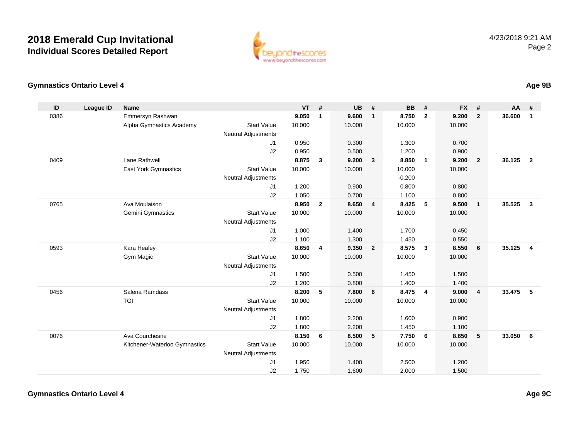

### **Gymnastics Ontario Level 4**

| ID   | League ID | <b>Name</b>                   |                            | <b>VT</b> | #            | <b>UB</b> | #                       | <b>BB</b> | #                       | <b>FX</b> | #            | <b>AA</b> | #              |
|------|-----------|-------------------------------|----------------------------|-----------|--------------|-----------|-------------------------|-----------|-------------------------|-----------|--------------|-----------|----------------|
| 0386 |           | Emmersyn Rashwan              |                            | 9.050     | $\mathbf{1}$ | 9.600     | $\mathbf{1}$            | 8.750     | $\overline{2}$          | 9.200     | $\mathbf{2}$ | 36.600    | $\mathbf{1}$   |
|      |           | Alpha Gymnastics Academy      | <b>Start Value</b>         | 10.000    |              | 10.000    |                         | 10.000    |                         | 10.000    |              |           |                |
|      |           |                               | <b>Neutral Adjustments</b> |           |              |           |                         |           |                         |           |              |           |                |
|      |           |                               | J1                         | 0.950     |              | 0.300     |                         | 1.300     |                         | 0.700     |              |           |                |
|      |           |                               | J2                         | 0.950     |              | 0.500     |                         | 1.200     |                         | 0.900     |              |           |                |
| 0409 |           | Lane Rathwell                 |                            | 8.875     | 3            | 9.200     | $\mathbf{3}$            | 8.850     | $\overline{1}$          | 9.200     | $\mathbf{2}$ | 36.125    | $\overline{2}$ |
|      |           | <b>East York Gymnastics</b>   | <b>Start Value</b>         | 10.000    |              | 10.000    |                         | 10.000    |                         | 10.000    |              |           |                |
|      |           |                               | <b>Neutral Adjustments</b> |           |              |           |                         | $-0.200$  |                         |           |              |           |                |
|      |           |                               | J1                         | 1.200     |              | 0.900     |                         | 0.800     |                         | 0.800     |              |           |                |
|      |           |                               | J2                         | 1.050     |              | 0.700     |                         | 1.100     |                         | 0.800     |              |           |                |
| 0765 |           | Ava Moulaison                 |                            | 8.950     | $\mathbf{2}$ | 8.650     | $\overline{4}$          | 8.425     | 5                       | 9.500     | $\mathbf{1}$ | 35.525    | $\mathbf{3}$   |
|      |           | Gemini Gymnastics             | <b>Start Value</b>         | 10.000    |              | 10.000    |                         | 10.000    |                         | 10.000    |              |           |                |
|      |           |                               | <b>Neutral Adjustments</b> |           |              |           |                         |           |                         |           |              |           |                |
|      |           |                               | J1                         | 1.000     |              | 1.400     |                         | 1.700     |                         | 0.450     |              |           |                |
|      |           |                               | J2                         | 1.100     |              | 1.300     |                         | 1.450     |                         | 0.550     |              |           |                |
| 0593 |           | Kara Healey                   |                            | 8.650     | 4            | 9.350     | $\overline{\mathbf{2}}$ | 8.575     | $\mathbf{3}$            | 8.550     | 6            | 35.125    | $\overline{4}$ |
|      |           | Gym Magic                     | <b>Start Value</b>         | 10.000    |              | 10.000    |                         | 10.000    |                         | 10.000    |              |           |                |
|      |           |                               | <b>Neutral Adjustments</b> |           |              |           |                         |           |                         |           |              |           |                |
|      |           |                               | J1                         | 1.500     |              | 0.500     |                         | 1.450     |                         | 1.500     |              |           |                |
|      |           |                               | J2                         | 1.200     |              | 0.800     |                         | 1.400     |                         | 1.400     |              |           |                |
| 0456 |           | Salena Ramdass                |                            | 8.200     | 5            | 7.800     | 6                       | 8.475     | $\overline{\mathbf{4}}$ | 9.000     | 4            | 33.475    | 5              |
|      |           | TGI                           | <b>Start Value</b>         | 10.000    |              | 10.000    |                         | 10.000    |                         | 10.000    |              |           |                |
|      |           |                               | <b>Neutral Adjustments</b> |           |              |           |                         |           |                         |           |              |           |                |
|      |           |                               | J1                         | 1.800     |              | 2.200     |                         | 1.600     |                         | 0.900     |              |           |                |
|      |           |                               | J2                         | 1.800     |              | 2.200     |                         | 1.450     |                         | 1.100     |              |           |                |
| 0076 |           | Ava Courchesne                |                            | 8.150     | 6            | 8.500     | 5                       | 7.750     | 6                       | 8.650     | 5            | 33.050    | 6              |
|      |           | Kitchener-Waterloo Gymnastics | <b>Start Value</b>         | 10.000    |              | 10.000    |                         | 10.000    |                         | 10.000    |              |           |                |
|      |           |                               | Neutral Adjustments        |           |              |           |                         |           |                         |           |              |           |                |
|      |           |                               | J1                         | 1.950     |              | 1.400     |                         | 2.500     |                         | 1.200     |              |           |                |
|      |           |                               | J2                         | 1.750     |              | 1.600     |                         | 2.000     |                         | 1.500     |              |           |                |

**Age 9B**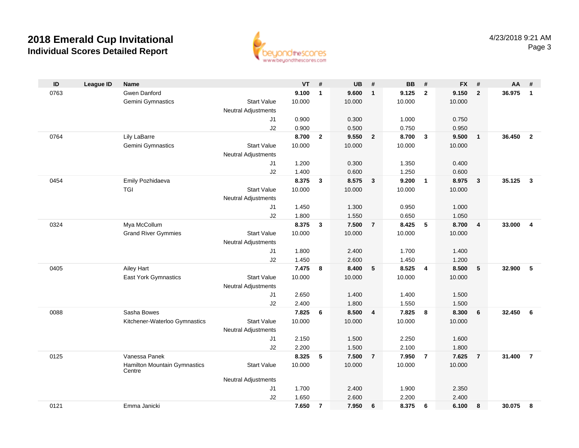

| ID   | <b>League ID</b> | <b>Name</b>                            |                            | <b>VT</b> | #              | <b>UB</b> | #              | <b>BB</b> | #              | <b>FX</b> | #                       | AA     | #              |
|------|------------------|----------------------------------------|----------------------------|-----------|----------------|-----------|----------------|-----------|----------------|-----------|-------------------------|--------|----------------|
| 0763 |                  | <b>Gwen Danford</b>                    |                            | 9.100     | $\mathbf{1}$   | 9.600     | $\mathbf{1}$   | 9.125     | $\overline{2}$ | 9.150     | $\overline{2}$          | 36.975 | $\mathbf{1}$   |
|      |                  | Gemini Gymnastics                      | <b>Start Value</b>         | 10.000    |                | 10.000    |                | 10.000    |                | 10.000    |                         |        |                |
|      |                  |                                        | <b>Neutral Adjustments</b> |           |                |           |                |           |                |           |                         |        |                |
|      |                  |                                        | J1                         | 0.900     |                | 0.300     |                | 1.000     |                | 0.750     |                         |        |                |
|      |                  |                                        | J2                         | 0.900     |                | 0.500     |                | 0.750     |                | 0.950     |                         |        |                |
| 0764 |                  | Lily LaBarre                           |                            | 8.700     | $\overline{2}$ | 9.550     | $\overline{2}$ | 8.700     | $\mathbf{3}$   | 9.500     | $\overline{\mathbf{1}}$ | 36.450 | $\overline{2}$ |
|      |                  | Gemini Gymnastics                      | <b>Start Value</b>         | 10.000    |                | 10.000    |                | 10.000    |                | 10.000    |                         |        |                |
|      |                  |                                        | <b>Neutral Adjustments</b> |           |                |           |                |           |                |           |                         |        |                |
|      |                  |                                        | J1                         | 1.200     |                | 0.300     |                | 1.350     |                | 0.400     |                         |        |                |
|      |                  |                                        | J2                         | 1.400     |                | 0.600     |                | 1.250     |                | 0.600     |                         |        |                |
| 0454 |                  | Emily Pozhidaeva                       |                            | 8.375     | 3              | 8.575     | $\mathbf{3}$   | 9.200     | $\overline{1}$ | 8.975     | $\overline{\mathbf{3}}$ | 35.125 | $\mathbf{3}$   |
|      |                  | TGI                                    | <b>Start Value</b>         | 10.000    |                | 10.000    |                | 10.000    |                | 10.000    |                         |        |                |
|      |                  |                                        | <b>Neutral Adjustments</b> |           |                |           |                |           |                |           |                         |        |                |
|      |                  |                                        | J1                         | 1.450     |                | 1.300     |                | 0.950     |                | 1.000     |                         |        |                |
|      |                  |                                        | J2                         | 1.800     |                | 1.550     |                | 0.650     |                | 1.050     |                         |        |                |
| 0324 |                  | Mya McCollum                           |                            | 8.375     | 3              | 7.500     | $\overline{7}$ | 8.425     | 5              | 8.700     | $\overline{\mathbf{4}}$ | 33.000 | $\overline{4}$ |
|      |                  | <b>Grand River Gymmies</b>             | <b>Start Value</b>         | 10.000    |                | 10.000    |                | 10.000    |                | 10.000    |                         |        |                |
|      |                  |                                        | <b>Neutral Adjustments</b> |           |                |           |                |           |                |           |                         |        |                |
|      |                  |                                        | J1                         | 1.800     |                | 2.400     |                | 1.700     |                | 1.400     |                         |        |                |
|      |                  |                                        | J2                         | 1.450     |                | 2.600     |                | 1.450     |                | 1.200     |                         |        |                |
| 0405 |                  | Ailey Hart                             |                            | 7.475     | 8              | 8.400     | 5              | 8.525     | $\overline{4}$ | 8.500     | $5\phantom{1}$          | 32.900 | 5              |
|      |                  | East York Gymnastics                   | <b>Start Value</b>         | 10.000    |                | 10.000    |                | 10.000    |                | 10.000    |                         |        |                |
|      |                  |                                        | <b>Neutral Adjustments</b> |           |                |           |                |           |                |           |                         |        |                |
|      |                  |                                        | J1                         | 2.650     |                | 1.400     |                | 1.400     |                | 1.500     |                         |        |                |
|      |                  |                                        | J2                         | 2.400     |                | 1.800     |                | 1.550     |                | 1.500     |                         |        |                |
| 0088 |                  | Sasha Bowes                            |                            | 7.825     | 6              | 8.500     | 4              | 7.825     | 8              | 8.300     | 6                       | 32.450 | - 6            |
|      |                  | Kitchener-Waterloo Gymnastics          | <b>Start Value</b>         | 10.000    |                | 10.000    |                | 10.000    |                | 10.000    |                         |        |                |
|      |                  |                                        | <b>Neutral Adjustments</b> |           |                |           |                |           |                |           |                         |        |                |
|      |                  |                                        | J1                         | 2.150     |                | 1.500     |                | 2.250     |                | 1.600     |                         |        |                |
|      |                  |                                        | J2                         | 2.200     |                | 1.500     |                | 2.100     |                | 1.800     |                         |        |                |
| 0125 |                  | Vanessa Panek                          |                            | 8.325     | 5              | 7.500     | $\overline{7}$ | 7.950     | $\overline{7}$ | 7.625     | $\overline{7}$          | 31.400 | $\overline{7}$ |
|      |                  | Hamilton Mountain Gymnastics<br>Centre | <b>Start Value</b>         | 10.000    |                | 10.000    |                | 10.000    |                | 10.000    |                         |        |                |
|      |                  |                                        | <b>Neutral Adjustments</b> |           |                |           |                |           |                |           |                         |        |                |
|      |                  |                                        | J1                         | 1.700     |                | 2.400     |                | 1.900     |                | 2.350     |                         |        |                |
|      |                  |                                        | J2                         | 1.650     |                | 2.600     |                | 2.200     |                | 2.400     |                         |        |                |
| 0121 |                  | Emma Janicki                           |                            | 7.650     | $\overline{7}$ | 7.950     | 6              | 8.375     | 6              | 6.100     | 8                       | 30.075 | 8              |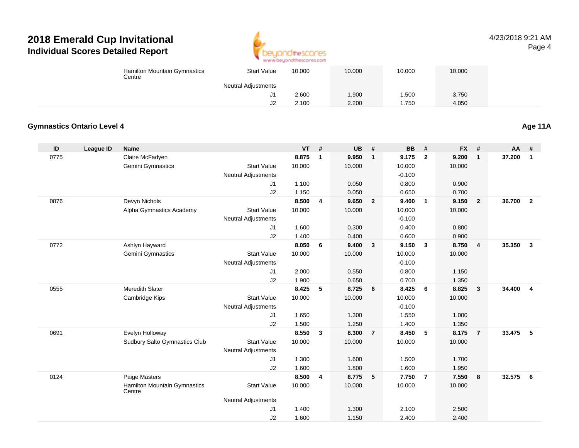

4/23/2018 9:21 AMPage 4

|                                   | Hamilton Mountain Gymnastics<br>Centre | <b>Start Value</b>         | 10.000         |                         | 10.000         |                | 10.000         |                | 10.000         |                |          |                         |
|-----------------------------------|----------------------------------------|----------------------------|----------------|-------------------------|----------------|----------------|----------------|----------------|----------------|----------------|----------|-------------------------|
|                                   |                                        | <b>Neutral Adjustments</b> |                |                         |                |                |                |                |                |                |          |                         |
|                                   |                                        | J1                         | 2.600          |                         | 1.900          |                | 1.500          |                | 3.750          |                |          |                         |
|                                   |                                        | J2                         | 2.100          |                         | 2.200          |                | 1.750          |                | 4.050          |                |          |                         |
| <b>Gymnastics Ontario Level 4</b> |                                        |                            |                |                         |                |                |                |                |                |                |          | Age 11A                 |
|                                   |                                        |                            |                |                         |                |                |                |                |                |                |          |                         |
| $\sf ID$<br><b>League ID</b>      | <b>Name</b>                            |                            | VT             | #                       | <b>UB</b>      | $\pmb{\#}$     | <b>BB</b>      | $\#$           | <b>FX</b>      | $\pmb{\#}$     | AA       | #                       |
| 0775                              | Claire McFadyen                        |                            | 8.875          | $\overline{\mathbf{1}}$ | 9.950          | $\mathbf{1}$   | 9.175          | $\overline{2}$ | 9.200          | $\mathbf{1}$   | 37.200   | $\overline{1}$          |
|                                   | Gemini Gymnastics                      | <b>Start Value</b>         | 10.000         |                         | 10.000         |                | 10.000         |                | 10.000         |                |          |                         |
|                                   |                                        | <b>Neutral Adjustments</b> |                |                         |                |                | $-0.100$       |                |                |                |          |                         |
|                                   |                                        | J1                         | 1.100          |                         | 0.050          |                | 0.800          |                | 0.900          |                |          |                         |
|                                   |                                        | J2                         | 1.150          |                         | 0.050          |                | 0.650          |                | 0.700          |                |          |                         |
| 0876                              | Devyn Nichols                          |                            | 8.500          | $\overline{4}$          | 9.650          | $\overline{2}$ | 9.400          | $\mathbf{1}$   | 9.150          | $\overline{2}$ | 36.700   | $\overline{\mathbf{2}}$ |
|                                   | Alpha Gymnastics Academy               | <b>Start Value</b>         | 10.000         |                         | 10.000         |                | 10.000         |                | 10.000         |                |          |                         |
|                                   |                                        | Neutral Adjustments        |                |                         |                |                | $-0.100$       |                |                |                |          |                         |
|                                   |                                        | J1                         | 1.600          |                         | 0.300          |                | 0.400          |                | 0.800          |                |          |                         |
|                                   |                                        | J2                         | 1.400          |                         | 0.400          |                | 0.600          |                | 0.900          |                |          |                         |
| 0772                              | Ashlyn Hayward                         |                            | 8.050          | $6\phantom{1}6$         | 9.400          | $\mathbf{3}$   | 9.150          | $\mathbf{3}$   | 8.750          | 4              | 35.350   | $\overline{\mathbf{3}}$ |
|                                   | Gemini Gymnastics                      | <b>Start Value</b>         | 10.000         |                         | 10.000         |                | 10.000         |                | 10.000         |                |          |                         |
|                                   |                                        | Neutral Adjustments        |                |                         |                |                | $-0.100$       |                |                |                |          |                         |
|                                   |                                        | J1                         | 2.000          |                         | 0.550          |                | 0.800          |                | 1.150          |                |          |                         |
| 0555                              | Meredith Slater                        | J2                         | 1.900<br>8.425 | $-5$                    | 0.650<br>8.725 | 6              | 0.700<br>8.425 | 6              | 1.350<br>8.825 |                | 34.400   | $\overline{\mathbf{4}}$ |
|                                   |                                        | <b>Start Value</b>         | 10.000         |                         |                |                | 10.000         |                | 10.000         | $\mathbf{3}$   |          |                         |
|                                   | Cambridge Kips                         | <b>Neutral Adjustments</b> |                |                         | 10.000         |                | $-0.100$       |                |                |                |          |                         |
|                                   |                                        | J1                         | 1.650          |                         | 1.300          |                | 1.550          |                | 1.000          |                |          |                         |
|                                   |                                        | J2                         | 1.500          |                         | 1.250          |                | 1.400          |                | 1.350          |                |          |                         |
| 0691                              | Evelyn Holloway                        |                            | 8.550          | $\overline{\mathbf{3}}$ | 8.300          | $\overline{7}$ | 8.450          | 5              | 8.175          | $\overline{7}$ | 33.475   | $-5$                    |
|                                   | Sudbury Salto Gymnastics Club          | <b>Start Value</b>         | 10.000         |                         | 10.000         |                | 10.000         |                | 10.000         |                |          |                         |
|                                   |                                        | Neutral Adjustments        |                |                         |                |                |                |                |                |                |          |                         |
|                                   |                                        | J1                         | 1.300          |                         | 1.600          |                | 1.500          |                | 1.700          |                |          |                         |
|                                   |                                        | J2                         | 1.600          |                         | 1.800          |                | 1.600          |                | 1.950          |                |          |                         |
| 0124                              | Paige Masters                          |                            | 8.500          | $\overline{4}$          | 8.775          | 5              | 7.750          | $\overline{7}$ | 7.550          | 8              | 32.575 6 |                         |
|                                   | Hamilton Mountain Gymnastics<br>Centre | <b>Start Value</b>         | 10.000         |                         | 10.000         |                | 10.000         |                | 10.000         |                |          |                         |
|                                   |                                        | <b>Neutral Adjustments</b> |                |                         |                |                |                |                |                |                |          |                         |
|                                   |                                        | J1                         | 1.400          |                         | 1.300          |                | 2.100          |                | 2.500          |                |          |                         |
|                                   |                                        | J2                         | 1.600          |                         | 1.150          |                | 2.400          |                | 2.400          |                |          |                         |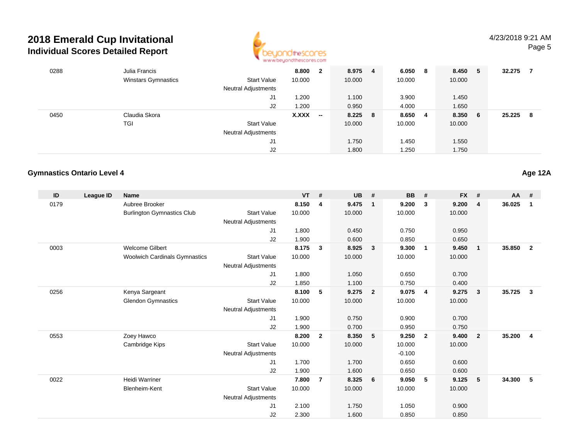

| 0288 | Julia Francis              |                            | 8.800  | $\mathbf{2}$             | 8.975     | 4 | 6.050  | - 8 | 8.450  | -5  | 32.275 |    |
|------|----------------------------|----------------------------|--------|--------------------------|-----------|---|--------|-----|--------|-----|--------|----|
|      | <b>Winstars Gymnastics</b> | <b>Start Value</b>         | 10.000 |                          | 10.000    |   | 10.000 |     | 10.000 |     |        |    |
|      |                            | Neutral Adjustments        |        |                          |           |   |        |     |        |     |        |    |
|      |                            | J1                         | .200   |                          | 1.100     |   | 3.900  |     | 1.450  |     |        |    |
|      |                            | J2                         | 1.200  |                          | 0.950     |   | 4.000  |     | 1.650  |     |        |    |
| 0450 | Claudia Skora              |                            | X.XXX  | $\overline{\phantom{a}}$ | $8.225$ 8 |   | 8.650  | - 4 | 8.350  | - 6 | 25.225 | -8 |
|      | TGI                        | <b>Start Value</b>         |        |                          | 10.000    |   | 10.000 |     | 10.000 |     |        |    |
|      |                            | <b>Neutral Adjustments</b> |        |                          |           |   |        |     |        |     |        |    |
|      |                            | J1                         |        |                          | 1.750     |   | 1.450  |     | 1.550  |     |        |    |
|      |                            | J2                         |        |                          | 1.800     |   | 1.250  |     | 1.750  |     |        |    |
|      |                            |                            |        |                          |           |   |        |     |        |     |        |    |

### **Gymnastics Ontario Level 4**

| ID   | League ID | <b>Name</b>                          |                            | <b>VT</b> | $\pmb{\#}$     | <b>UB</b> | #                       | <b>BB</b> | #              | <b>FX</b> | #              | AA     | #              |
|------|-----------|--------------------------------------|----------------------------|-----------|----------------|-----------|-------------------------|-----------|----------------|-----------|----------------|--------|----------------|
| 0179 |           | Aubree Brooker                       |                            | 8.150     | 4              | 9.475     | $\overline{1}$          | 9.200     | 3              | 9.200     | 4              | 36.025 | 1              |
|      |           | <b>Burlington Gymnastics Club</b>    | <b>Start Value</b>         | 10.000    |                | 10.000    |                         | 10.000    |                | 10.000    |                |        |                |
|      |           |                                      | Neutral Adjustments        |           |                |           |                         |           |                |           |                |        |                |
|      |           |                                      | J1                         | 1.800     |                | 0.450     |                         | 0.750     |                | 0.950     |                |        |                |
|      |           |                                      | J2                         | 1.900     |                | 0.600     |                         | 0.850     |                | 0.650     |                |        |                |
| 0003 |           | <b>Welcome Gilbert</b>               |                            | 8.175     | 3              | 8.925     | $\overline{\mathbf{3}}$ | 9.300     | $\overline{1}$ | 9.450     | $\mathbf{1}$   | 35.850 | $\mathbf{2}$   |
|      |           | <b>Woolwich Cardinals Gymnastics</b> | <b>Start Value</b>         | 10.000    |                | 10.000    |                         | 10.000    |                | 10.000    |                |        |                |
|      |           |                                      | <b>Neutral Adjustments</b> |           |                |           |                         |           |                |           |                |        |                |
|      |           |                                      | J1                         | 1.800     |                | 1.050     |                         | 0.650     |                | 0.700     |                |        |                |
|      |           |                                      | J2                         | 1.850     |                | 1.100     |                         | 0.750     |                | 0.400     |                |        |                |
| 0256 |           | Kenya Sargeant                       |                            | 8.100     | 5              | 9.275     | $\overline{2}$          | 9.075     | $\overline{4}$ | 9.275     | $\mathbf{3}$   | 35.725 | $\mathbf{3}$   |
|      |           | <b>Glendon Gymnastics</b>            | <b>Start Value</b>         | 10.000    |                | 10.000    |                         | 10.000    |                | 10.000    |                |        |                |
|      |           |                                      | <b>Neutral Adjustments</b> |           |                |           |                         |           |                |           |                |        |                |
|      |           |                                      | J <sub>1</sub>             | 1.900     |                | 0.750     |                         | 0.900     |                | 0.700     |                |        |                |
|      |           |                                      | J <sub>2</sub>             | 1.900     |                | 0.700     |                         | 0.950     |                | 0.750     |                |        |                |
| 0553 |           | Zoey Hawco                           |                            | 8.200     | $\overline{2}$ | 8.350     | 5                       | 9.250     | $\overline{2}$ | 9.400     | $\overline{2}$ | 35.200 | $\overline{4}$ |
|      |           | Cambridge Kips                       | <b>Start Value</b>         | 10.000    |                | 10.000    |                         | 10.000    |                | 10.000    |                |        |                |
|      |           |                                      | <b>Neutral Adjustments</b> |           |                |           |                         | $-0.100$  |                |           |                |        |                |
|      |           |                                      | J1                         | 1.700     |                | 1.700     |                         | 0.650     |                | 0.600     |                |        |                |
|      |           |                                      | J2                         | 1.900     |                | 1.600     |                         | 0.650     |                | 0.600     |                |        |                |
| 0022 |           | <b>Heidi Warriner</b>                |                            | 7.800     | $\overline{7}$ | 8.325     | 6                       | 9.050     | 5              | 9.125     | 5              | 34.300 | 5              |
|      |           | Blenheim-Kent                        | <b>Start Value</b>         | 10.000    |                | 10.000    |                         | 10.000    |                | 10.000    |                |        |                |
|      |           |                                      | <b>Neutral Adjustments</b> |           |                |           |                         |           |                |           |                |        |                |
|      |           |                                      | J <sub>1</sub>             | 2.100     |                | 1.750     |                         | 1.050     |                | 0.900     |                |        |                |
|      |           |                                      | J <sub>2</sub>             | 2.300     |                | 1.600     |                         | 0.850     |                | 0.850     |                |        |                |

**Age 12A**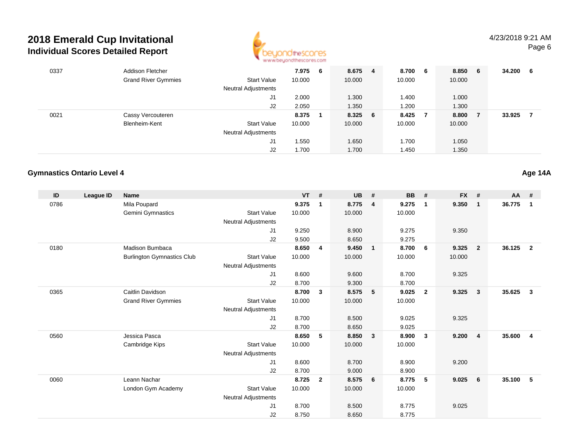

| 0337 | <b>Addison Fletcher</b>    |                            | 7.975 6 | 8.675   | -4 | 8.700 6 |                | 8.850  | - 6 | 34.200 | -6 |
|------|----------------------------|----------------------------|---------|---------|----|---------|----------------|--------|-----|--------|----|
|      | <b>Grand River Gymmies</b> | <b>Start Value</b>         | 10.000  | 10.000  |    | 10.000  |                | 10.000 |     |        |    |
|      |                            | <b>Neutral Adjustments</b> |         |         |    |         |                |        |     |        |    |
|      |                            | J1                         | 2.000   | 1.300   |    | 1.400   |                | 1.000  |     |        |    |
|      |                            | J2                         | 2.050   | 1.350   |    | 1.200   |                | 1.300  |     |        |    |
| 0021 | Cassy Vercouteren          |                            | 8.375   | 8.325 6 |    | 8.425   | $\overline{7}$ | 8.800  |     | 33.925 |    |
|      | Blenheim-Kent              | <b>Start Value</b>         | 10.000  | 10.000  |    | 10.000  |                | 10.000 |     |        |    |
|      |                            | <b>Neutral Adjustments</b> |         |         |    |         |                |        |     |        |    |
|      |                            | J1                         | .550    | 1.650   |    | 1.700   |                | 1.050  |     |        |    |
|      |                            | J2                         | 1.700   | 1.700   |    | 450. ا  |                | 1.350  |     |        |    |

### **Gymnastics Ontario Level 4**

| ID   | League ID | <b>Name</b>                       |                            | <b>VT</b> | #              | <b>UB</b> | #                       | <b>BB</b> | #              | <b>FX</b> | #              | <b>AA</b> | #                       |
|------|-----------|-----------------------------------|----------------------------|-----------|----------------|-----------|-------------------------|-----------|----------------|-----------|----------------|-----------|-------------------------|
| 0786 |           | Mila Poupard                      |                            | 9.375     | $\mathbf{1}$   | 8.775     | $\overline{4}$          | 9.275     | $\mathbf{1}$   | 9.350     | $\mathbf{1}$   | 36.775    | $\mathbf 1$             |
|      |           | Gemini Gymnastics                 | <b>Start Value</b>         | 10.000    |                | 10.000    |                         | 10.000    |                |           |                |           |                         |
|      |           |                                   | Neutral Adjustments        |           |                |           |                         |           |                |           |                |           |                         |
|      |           |                                   | J <sub>1</sub>             | 9.250     |                | 8.900     |                         | 9.275     |                | 9.350     |                |           |                         |
|      |           |                                   | J2                         | 9.500     |                | 8.650     |                         | 9.275     |                |           |                |           |                         |
| 0180 |           | Madison Bumbaca                   |                            | 8.650     | 4              | 9.450     | $\overline{1}$          | 8.700     | 6              | 9.325     | $\overline{2}$ | 36.125    | $\overline{\mathbf{2}}$ |
|      |           | <b>Burlington Gymnastics Club</b> | <b>Start Value</b>         | 10.000    |                | 10.000    |                         | 10.000    |                | 10.000    |                |           |                         |
|      |           |                                   | <b>Neutral Adjustments</b> |           |                |           |                         |           |                |           |                |           |                         |
|      |           |                                   | J1                         | 8.600     |                | 9.600     |                         | 8.700     |                | 9.325     |                |           |                         |
|      |           |                                   | J2                         | 8.700     |                | 9.300     |                         | 8.700     |                |           |                |           |                         |
| 0365 |           | Caitlin Davidson                  |                            | 8.700     | 3              | 8.575     | 5                       | 9.025     | $\overline{2}$ | 9.325     | $\mathbf{3}$   | 35.625    | $\mathbf{3}$            |
|      |           | <b>Grand River Gymmies</b>        | <b>Start Value</b>         | 10.000    |                | 10.000    |                         | 10.000    |                |           |                |           |                         |
|      |           |                                   | <b>Neutral Adjustments</b> |           |                |           |                         |           |                |           |                |           |                         |
|      |           |                                   | J <sub>1</sub>             | 8.700     |                | 8.500     |                         | 9.025     |                | 9.325     |                |           |                         |
|      |           |                                   | J2                         | 8.700     |                | 8.650     |                         | 9.025     |                |           |                |           |                         |
| 0560 |           | Jessica Pasca                     |                            | 8.650     | 5              | 8.850     | $\overline{\mathbf{3}}$ | 8.900     | $\mathbf{3}$   | 9.200     | $\overline{4}$ | 35.600    | $\overline{4}$          |
|      |           | Cambridge Kips                    | <b>Start Value</b>         | 10.000    |                | 10.000    |                         | 10.000    |                |           |                |           |                         |
|      |           |                                   | <b>Neutral Adjustments</b> |           |                |           |                         |           |                |           |                |           |                         |
|      |           |                                   | J1                         | 8.600     |                | 8.700     |                         | 8.900     |                | 9.200     |                |           |                         |
|      |           |                                   | J2                         | 8.700     |                | 9.000     |                         | 8.900     |                |           |                |           |                         |
| 0060 |           | Leann Nachar                      |                            | 8.725     | $\overline{2}$ | 8.575     | $6\overline{6}$         | 8.775     | 5              | 9.025     | 6              | 35.100    | 5                       |
|      |           | London Gym Academy                | <b>Start Value</b>         | 10.000    |                | 10.000    |                         | 10.000    |                |           |                |           |                         |
|      |           |                                   | <b>Neutral Adjustments</b> |           |                |           |                         |           |                |           |                |           |                         |
|      |           |                                   | J <sub>1</sub>             | 8.700     |                | 8.500     |                         | 8.775     |                | 9.025     |                |           |                         |
|      |           |                                   | J <sub>2</sub>             | 8.750     |                | 8.650     |                         | 8.775     |                |           |                |           |                         |

**Age 14A**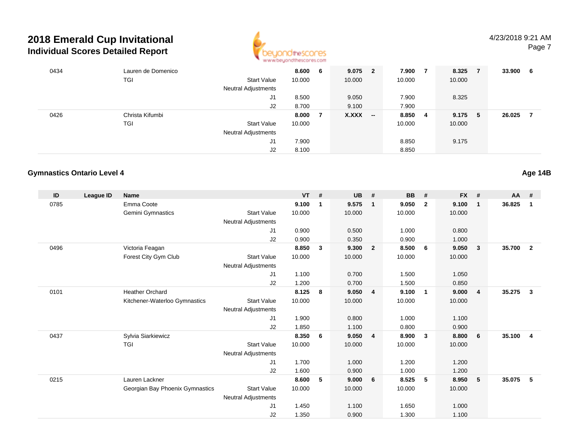

#### 4/23/2018 9:21 AMPage 7

| 0434 | Lauren de Domenico |                            | 8.600  | 6 | $9.075$ 2 |                          | 7.900   | $\overline{7}$ | 8.325  | $\overline{7}$ | 33.900 | -6 |
|------|--------------------|----------------------------|--------|---|-----------|--------------------------|---------|----------------|--------|----------------|--------|----|
|      | <b>TGI</b>         | <b>Start Value</b>         | 10.000 |   | 10.000    |                          | 10.000  |                | 10.000 |                |        |    |
|      |                    | Neutral Adjustments        |        |   |           |                          |         |                |        |                |        |    |
|      |                    | J1                         | 8.500  |   | 9.050     |                          | 7.900   |                | 8.325  |                |        |    |
|      |                    | J2                         | 8.700  |   | 9.100     |                          | 7.900   |                |        |                |        |    |
| 0426 | Christa Kifumbi    |                            | 8.000  | 7 | X.XXX     | $\overline{\phantom{a}}$ | 8.850 4 |                | 9.175  | -5             | 26.025 |    |
|      | <b>TGI</b>         | <b>Start Value</b>         | 10.000 |   |           |                          | 10.000  |                | 10.000 |                |        |    |
|      |                    | <b>Neutral Adjustments</b> |        |   |           |                          |         |                |        |                |        |    |
|      |                    | J1                         | 7.900  |   |           |                          | 8.850   |                | 9.175  |                |        |    |
|      |                    | J2                         | 8.100  |   |           |                          | 8.850   |                |        |                |        |    |

### **Gymnastics Ontario Level 4**

| ID   | <b>League ID</b> | <b>Name</b>                     |                            | <b>VT</b> | #            | <b>UB</b> | #                       | <b>BB</b> | #                       | <b>FX</b> | #              | AA     | #                       |
|------|------------------|---------------------------------|----------------------------|-----------|--------------|-----------|-------------------------|-----------|-------------------------|-----------|----------------|--------|-------------------------|
| 0785 |                  | Emma Coote                      |                            | 9.100     | $\mathbf{1}$ | 9.575     | $\overline{1}$          | 9.050     | $\overline{2}$          | 9.100     | $\mathbf{1}$   | 36.825 | 1                       |
|      |                  | Gemini Gymnastics               | <b>Start Value</b>         | 10.000    |              | 10.000    |                         | 10.000    |                         | 10.000    |                |        |                         |
|      |                  |                                 | <b>Neutral Adjustments</b> |           |              |           |                         |           |                         |           |                |        |                         |
|      |                  |                                 | J1                         | 0.900     |              | 0.500     |                         | 1.000     |                         | 0.800     |                |        |                         |
|      |                  |                                 | J <sub>2</sub>             | 0.900     |              | 0.350     |                         | 0.900     |                         | 1.000     |                |        |                         |
| 0496 |                  | Victoria Feagan                 |                            | 8.850     | $\mathbf{3}$ | 9.300     | $\overline{\mathbf{2}}$ | 8.500     | 6                       | 9.050     | 3              | 35.700 | $\overline{\mathbf{2}}$ |
|      |                  | Forest City Gym Club            | <b>Start Value</b>         | 10.000    |              | 10.000    |                         | 10.000    |                         | 10.000    |                |        |                         |
|      |                  |                                 | <b>Neutral Adjustments</b> |           |              |           |                         |           |                         |           |                |        |                         |
|      |                  |                                 | J <sub>1</sub>             | 1.100     |              | 0.700     |                         | 1.500     |                         | 1.050     |                |        |                         |
|      |                  |                                 | J2                         | 1.200     |              | 0.700     |                         | 1.500     |                         | 0.850     |                |        |                         |
| 0101 |                  | <b>Heather Orchard</b>          |                            | 8.125     | 8            | 9.050     | $\overline{4}$          | 9.100     | $\overline{1}$          | 9.000     | $\overline{4}$ | 35.275 | $\mathbf{3}$            |
|      |                  | Kitchener-Waterloo Gymnastics   | <b>Start Value</b>         | 10.000    |              | 10.000    |                         | 10.000    |                         | 10.000    |                |        |                         |
|      |                  |                                 | <b>Neutral Adjustments</b> |           |              |           |                         |           |                         |           |                |        |                         |
|      |                  |                                 | J <sub>1</sub>             | 1.900     |              | 0.800     |                         | 1.000     |                         | 1.100     |                |        |                         |
|      |                  |                                 | J <sub>2</sub>             | 1.850     |              | 1.100     |                         | 0.800     |                         | 0.900     |                |        |                         |
| 0437 |                  | Sylvia Siarkiewicz              |                            | 8.350     | 6            | 9.050     | $\overline{\mathbf{4}}$ | 8.900     | $\overline{\mathbf{3}}$ | 8.800     | 6              | 35.100 | $\overline{\mathbf{4}}$ |
|      |                  | TGI                             | <b>Start Value</b>         | 10.000    |              | 10.000    |                         | 10.000    |                         | 10.000    |                |        |                         |
|      |                  |                                 | <b>Neutral Adjustments</b> |           |              |           |                         |           |                         |           |                |        |                         |
|      |                  |                                 | J <sub>1</sub>             | 1.700     |              | 1.000     |                         | 1.200     |                         | 1.200     |                |        |                         |
|      |                  |                                 | J2                         | 1.600     |              | 0.900     |                         | 1.000     |                         | 1.200     |                |        |                         |
| 0215 |                  | Lauren Lackner                  |                            | 8.600     | 5            | 9.000     | 6                       | 8.525     | 5                       | 8.950     | 5              | 35.075 | 5                       |
|      |                  | Georgian Bay Phoenix Gymnastics | <b>Start Value</b>         | 10.000    |              | 10.000    |                         | 10.000    |                         | 10.000    |                |        |                         |
|      |                  |                                 | <b>Neutral Adjustments</b> |           |              |           |                         |           |                         |           |                |        |                         |
|      |                  |                                 | J <sub>1</sub>             | 1.450     |              | 1.100     |                         | 1.650     |                         | 1.000     |                |        |                         |
|      |                  |                                 | J <sub>2</sub>             | 1.350     |              | 0.900     |                         | 1.300     |                         | 1.100     |                |        |                         |

**Age 14B**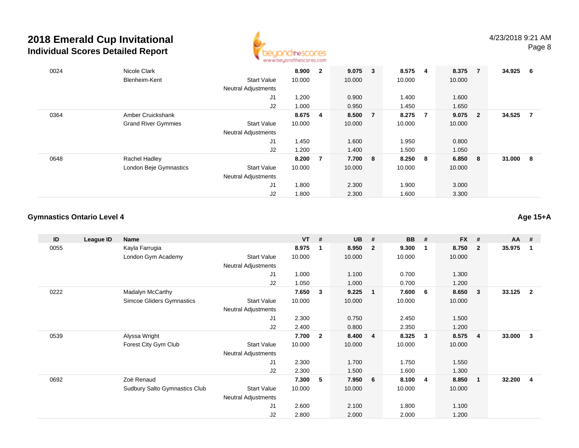

| 0024 | Nicole Clark               |                            | 8.900   | $\mathbf{2}$   | $9.075 \t3$ |                | 8.575  | - 4            | 8.375  | $\overline{7}$          | 34.925 | -6 |
|------|----------------------------|----------------------------|---------|----------------|-------------|----------------|--------|----------------|--------|-------------------------|--------|----|
|      | Blenheim-Kent              | <b>Start Value</b>         | 10.000  |                | 10.000      |                | 10.000 |                | 10.000 |                         |        |    |
|      |                            | <b>Neutral Adjustments</b> |         |                |             |                |        |                |        |                         |        |    |
|      |                            | J1                         | 1.200   |                | 0.900       |                | 1.400  |                | 1.600  |                         |        |    |
|      |                            | J2                         | 1.000   |                | 0.950       |                | 1.450  |                | 1.650  |                         |        |    |
| 0364 | Amber Cruickshank          |                            | 8.675 4 |                | 8.500       | $\overline{7}$ | 8.275  | $\overline{7}$ | 9.075  | $\overline{\mathbf{2}}$ | 34.525 | 7  |
|      | <b>Grand River Gymmies</b> | <b>Start Value</b>         | 10.000  |                | 10.000      |                | 10.000 |                | 10.000 |                         |        |    |
|      |                            | <b>Neutral Adjustments</b> |         |                |             |                |        |                |        |                         |        |    |
|      |                            | J1                         | 1.450   |                | 1.600       |                | 1.950  |                | 0.800  |                         |        |    |
|      |                            | J2                         | 1.200   |                | 1.400       |                | 1.500  |                | 1.050  |                         |        |    |
| 0648 | Rachel Hadley              |                            | 8.200   | $\overline{7}$ | 7.700 8     |                | 8.250  | - 8            | 6.850  | - 8                     | 31.000 | -8 |
|      | London Beje Gymnastics     | <b>Start Value</b>         | 10.000  |                | 10.000      |                | 10.000 |                | 10.000 |                         |        |    |
|      |                            | <b>Neutral Adjustments</b> |         |                |             |                |        |                |        |                         |        |    |
|      |                            | J1                         | 1.800   |                | 2.300       |                | 1.900  |                | 3.000  |                         |        |    |
|      |                            | J2                         | 1.800   |                | 2.300       |                | 1.600  |                | 3.300  |                         |        |    |

### **Gymnastics Ontario Level 4**

**Age 15+A**

| ID   | League ID | Name                          |                     | <b>VT</b> | #              | <b>UB</b> | #              | <b>BB</b> | #            | <b>FX</b> | #              | $AA$ # |                |
|------|-----------|-------------------------------|---------------------|-----------|----------------|-----------|----------------|-----------|--------------|-----------|----------------|--------|----------------|
| 0055 |           | Kayla Farrugia                |                     | 8.975     | 1              | 8.950     | $\overline{2}$ | 9.300     | -1           | 8.750     | $\mathbf{2}$   | 35.975 | 1              |
|      |           | London Gym Academy            | <b>Start Value</b>  | 10.000    |                | 10.000    |                | 10.000    |              | 10.000    |                |        |                |
|      |           |                               | Neutral Adjustments |           |                |           |                |           |              |           |                |        |                |
|      |           |                               | J1                  | 1.000     |                | 1.100     |                | 0.700     |              | 1.300     |                |        |                |
|      |           |                               | J2                  | 1.050     |                | 1.000     |                | 0.700     |              | 1.200     |                |        |                |
| 0222 |           | Madalyn McCarthy              |                     | 7.650     | 3              | 9.225     | $\overline{1}$ | 7.600     | 6            | 8.650     | $\mathbf{3}$   | 33.125 | $\overline{2}$ |
|      |           | Simcoe Gliders Gymnastics     | <b>Start Value</b>  | 10.000    |                | 10.000    |                | 10.000    |              | 10.000    |                |        |                |
|      |           |                               | Neutral Adjustments |           |                |           |                |           |              |           |                |        |                |
|      |           |                               | J1                  | 2.300     |                | 0.750     |                | 2.450     |              | 1.500     |                |        |                |
|      |           |                               | J2                  | 2.400     |                | 0.800     |                | 2.350     |              | 1.200     |                |        |                |
| 0539 |           | Alyssa Wright                 |                     | 7.700     | $\overline{2}$ | 8.400     | $\overline{4}$ | 8.325     | $\mathbf{3}$ | 8.575     | $\overline{4}$ | 33.000 | 3              |
|      |           | Forest City Gym Club          | <b>Start Value</b>  | 10.000    |                | 10.000    |                | 10.000    |              | 10.000    |                |        |                |
|      |           |                               | Neutral Adjustments |           |                |           |                |           |              |           |                |        |                |
|      |           |                               | J1                  | 2.300     |                | 1.700     |                | 1.750     |              | 1.550     |                |        |                |
|      |           |                               | J2                  | 2.300     |                | 1.500     |                | 1.600     |              | 1.300     |                |        |                |
| 0692 |           | Zoë Renaud                    |                     | 7.300     | 5              | 7.950     | 6              | 8.100     | -4           | 8.850     | $\mathbf{1}$   | 32.200 | 4              |
|      |           | Sudbury Salto Gymnastics Club | <b>Start Value</b>  | 10.000    |                | 10.000    |                | 10.000    |              | 10.000    |                |        |                |
|      |           |                               | Neutral Adjustments |           |                |           |                |           |              |           |                |        |                |
|      |           |                               | J1                  | 2.600     |                | 2.100     |                | 1.800     |              | 1.100     |                |        |                |
|      |           |                               | J <sub>2</sub>      | 2.800     |                | 2.000     |                | 2.000     |              | 1.200     |                |        |                |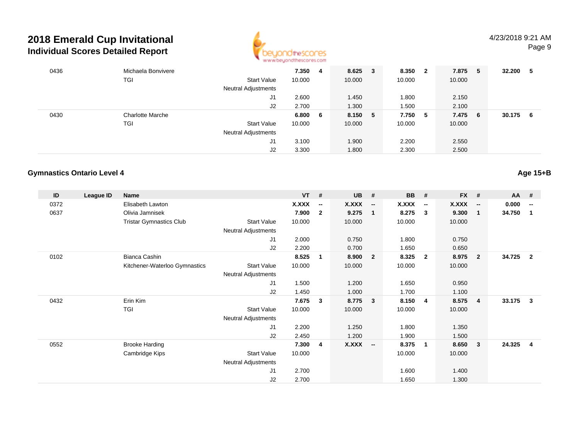

| 0436 | Michaela Bonvivere      |                            | 7.350  | 4   | 8.625   | 3 | 8.350   | $\overline{\mathbf{2}}$ | 7.875  | - 5 | 32.200 | 5  |
|------|-------------------------|----------------------------|--------|-----|---------|---|---------|-------------------------|--------|-----|--------|----|
|      | <b>TGI</b>              | <b>Start Value</b>         | 10.000 |     | 10.000  |   | 10.000  |                         | 10.000 |     |        |    |
|      |                         | <b>Neutral Adjustments</b> |        |     |         |   |         |                         |        |     |        |    |
|      |                         | J1                         | 2.600  |     | 1.450   |   | 1.800   |                         | 2.150  |     |        |    |
|      |                         | J2                         | 2.700  |     | 1.300   |   | 1.500   |                         | 2.100  |     |        |    |
| 0430 | <b>Charlotte Marche</b> |                            | 6.800  | - 6 | 8.150 5 |   | 7.750 5 |                         | 7.475  | - 6 | 30.175 | -6 |
|      | <b>TGI</b>              | <b>Start Value</b>         | 10.000 |     | 10.000  |   | 10.000  |                         | 10.000 |     |        |    |
|      |                         | Neutral Adjustments        |        |     |         |   |         |                         |        |     |        |    |
|      |                         | J1                         | 3.100  |     | 1.900   |   | 2.200   |                         | 2.550  |     |        |    |
|      |                         | J2                         | 3.300  |     | 1.800   |   | 2.300   |                         | 2.500  |     |        |    |

### **Gymnastics Ontario Level 4**

| ID   | League ID | <b>Name</b>                    |                     | $VT$ # |                          | <b>UB</b> | #                       | <b>BB</b> | #                        | <b>FX</b> | #                        | <b>AA</b> | #                        |
|------|-----------|--------------------------------|---------------------|--------|--------------------------|-----------|-------------------------|-----------|--------------------------|-----------|--------------------------|-----------|--------------------------|
| 0372 |           | Elisabeth Lawton               |                     | X.XXX  | $\overline{\phantom{a}}$ | X.XXX     | $\sim$                  | X.XXX     | $\overline{\phantom{a}}$ | X.XXX     | $\overline{\phantom{a}}$ | 0.000     | $\overline{\phantom{a}}$ |
| 0637 |           | Olivia Jamnisek                |                     | 7.900  | $\mathbf{2}$             | 9.275     | $\overline{1}$          | 8.275     | $\overline{\mathbf{3}}$  | 9.300     | -1                       | 34.750    | 1                        |
|      |           | <b>Tristar Gymnastics Club</b> | Start Value         | 10.000 |                          | 10.000    |                         | 10.000    |                          | 10.000    |                          |           |                          |
|      |           |                                | Neutral Adjustments |        |                          |           |                         |           |                          |           |                          |           |                          |
|      |           |                                | J1                  | 2.000  |                          | 0.750     |                         | 1.800     |                          | 0.750     |                          |           |                          |
|      |           |                                | J2                  | 2.200  |                          | 0.700     |                         | 1.650     |                          | 0.650     |                          |           |                          |
| 0102 |           | <b>Bianca Cashin</b>           |                     | 8.525  | $\mathbf{1}$             | 8.900     | $\overline{\mathbf{2}}$ | 8.325     | $\overline{\mathbf{2}}$  | 8.975     | $\overline{2}$           | 34.725    | $\overline{2}$           |
|      |           | Kitchener-Waterloo Gymnastics  | Start Value         | 10.000 |                          | 10.000    |                         | 10.000    |                          | 10.000    |                          |           |                          |
|      |           |                                | Neutral Adjustments |        |                          |           |                         |           |                          |           |                          |           |                          |
|      |           |                                | J <sub>1</sub>      | 1.500  |                          | 1.200     |                         | 1.650     |                          | 0.950     |                          |           |                          |
|      |           |                                | J2                  | 1.450  |                          | 1.000     |                         | 1.700     |                          | 1.100     |                          |           |                          |
| 0432 |           | Erin Kim                       |                     | 7.675  | 3                        | 8.775     | $\overline{\mathbf{3}}$ | 8.150     | $\overline{4}$           | 8.575     | $\overline{4}$           | 33.175    | 3                        |
|      |           | TGI                            | Start Value         | 10.000 |                          | 10.000    |                         | 10.000    |                          | 10.000    |                          |           |                          |
|      |           |                                | Neutral Adjustments |        |                          |           |                         |           |                          |           |                          |           |                          |
|      |           |                                | J1                  | 2.200  |                          | 1.250     |                         | 1.800     |                          | 1.350     |                          |           |                          |
|      |           |                                | J2                  | 2.450  |                          | 1.200     |                         | 1.900     |                          | 1.500     |                          |           |                          |
| 0552 |           | <b>Brooke Harding</b>          |                     | 7.300  | 4                        | $X.XXX$ - |                         | 8.375     | $\blacksquare$           | 8.650     | 3                        | 24.325    | 4                        |
|      |           | Cambridge Kips                 | <b>Start Value</b>  | 10.000 |                          |           |                         | 10.000    |                          | 10.000    |                          |           |                          |
|      |           |                                | Neutral Adjustments |        |                          |           |                         |           |                          |           |                          |           |                          |
|      |           |                                | J1                  | 2.700  |                          |           |                         | 1.600     |                          | 1.400     |                          |           |                          |
|      |           |                                | J2                  | 2.700  |                          |           |                         | 1.650     |                          | 1.300     |                          |           |                          |

**Age 15+B**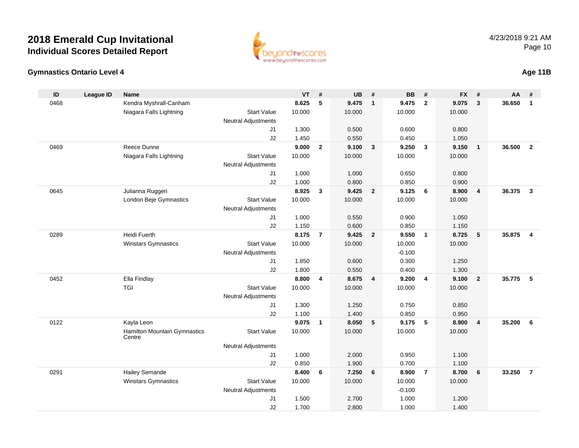

### **Gymnastics Ontario Level 4**

|  | Age 11B |
|--|---------|
|--|---------|

| $\mathsf{ID}$ | League ID | <b>Name</b>                                   |                            | <b>VT</b> | #              | <b>UB</b> | #                       | <b>BB</b> | #              | <b>FX</b> | #              | AA     | #              |
|---------------|-----------|-----------------------------------------------|----------------------------|-----------|----------------|-----------|-------------------------|-----------|----------------|-----------|----------------|--------|----------------|
| 0468          |           | Kendra Myshrall-Canham                        |                            | 8.625     | 5              | 9.475     | $\overline{1}$          | 9.475     | $\overline{2}$ | 9.075     | 3              | 36.650 | $\mathbf{1}$   |
|               |           | Niagara Falls Lightning                       | <b>Start Value</b>         | 10.000    |                | 10.000    |                         | 10.000    |                | 10.000    |                |        |                |
|               |           |                                               | Neutral Adjustments        |           |                |           |                         |           |                |           |                |        |                |
|               |           |                                               | J1                         | 1.300     |                | 0.500     |                         | 0.600     |                | 0.800     |                |        |                |
|               |           |                                               | J2                         | 1.450     |                | 0.550     |                         | 0.450     |                | 1.050     |                |        |                |
| 0469          |           | Reece Dunne                                   |                            | 9.000     | $\overline{2}$ | 9.100     | $\mathbf{3}$            | 9.250     | $\mathbf{3}$   | 9.150     | $\overline{1}$ | 36.500 | $\overline{2}$ |
|               |           | Niagara Falls Lightning                       | <b>Start Value</b>         | 10.000    |                | 10.000    |                         | 10.000    |                | 10.000    |                |        |                |
|               |           |                                               | <b>Neutral Adjustments</b> |           |                |           |                         |           |                |           |                |        |                |
|               |           |                                               | J1                         | 1.000     |                | 1.000     |                         | 0.650     |                | 0.800     |                |        |                |
|               |           |                                               | J2                         | 1.000     |                | 0.800     |                         | 0.850     |                | 0.900     |                |        |                |
| 0645          |           | Julianna Ruggeri                              |                            | 8.925     | $\mathbf{3}$   | 9.425     | $\overline{2}$          | 9.125     | 6              | 8.900     | $\overline{4}$ | 36.375 | $\mathbf{3}$   |
|               |           | London Beje Gymnastics                        | <b>Start Value</b>         | 10.000    |                | 10.000    |                         | 10.000    |                | 10.000    |                |        |                |
|               |           |                                               | <b>Neutral Adjustments</b> |           |                |           |                         |           |                |           |                |        |                |
|               |           |                                               | J1                         | 1.000     |                | 0.550     |                         | 0.900     |                | 1.050     |                |        |                |
|               |           |                                               | J2                         | 1.150     |                | 0.600     |                         | 0.850     |                | 1.150     |                |        |                |
| 0289          |           | Heidi Fuerth                                  |                            | 8.175     | $\overline{7}$ | 9.425     | $\overline{2}$          | 9.550     | $\overline{1}$ | 8.725     | 5              | 35.875 | $\overline{4}$ |
|               |           | Winstars Gymnastics                           | <b>Start Value</b>         | 10.000    |                | 10.000    |                         | 10.000    |                | 10.000    |                |        |                |
|               |           |                                               | <b>Neutral Adjustments</b> |           |                |           |                         | $-0.100$  |                |           |                |        |                |
|               |           |                                               | J1                         | 1.850     |                | 0.600     |                         | 0.300     |                | 1.250     |                |        |                |
|               |           |                                               | J2                         | 1.800     |                | 0.550     |                         | 0.400     |                | 1.300     |                |        |                |
| 0452          |           | Ella Findlay                                  |                            | 8.800     | 4              | 8.675     | $\overline{\mathbf{4}}$ | 9.200     | $\overline{4}$ | 9.100     | $\overline{2}$ | 35.775 | 5              |
|               |           | <b>TGI</b>                                    | <b>Start Value</b>         | 10.000    |                | 10.000    |                         | 10.000    |                | 10.000    |                |        |                |
|               |           |                                               | Neutral Adjustments        |           |                |           |                         |           |                |           |                |        |                |
|               |           |                                               | J1                         | 1.300     |                | 1.250     |                         | 0.750     |                | 0.850     |                |        |                |
|               |           |                                               | J2                         | 1.100     |                | 1.400     |                         | 0.850     |                | 0.950     |                |        |                |
| 0122          |           | Kayla Leon                                    |                            | 9.075     | $\mathbf{1}$   | 8.050     | 5                       | 9.175     | 5              | 8.900     | $\overline{4}$ | 35.200 | 6              |
|               |           | <b>Hamilton Mountain Gymnastics</b><br>Centre | <b>Start Value</b>         | 10.000    |                | 10.000    |                         | 10.000    |                | 10.000    |                |        |                |
|               |           |                                               | <b>Neutral Adjustments</b> |           |                |           |                         |           |                |           |                |        |                |
|               |           |                                               | J1                         | 1.000     |                | 2.000     |                         | 0.950     |                | 1.100     |                |        |                |
|               |           |                                               | J2                         | 0.850     |                | 1.900     |                         | 0.700     |                | 1.100     |                |        |                |
| 0291          |           | <b>Hailey Semande</b>                         |                            | 8.400     | 6              | 7.250     | 6                       | 8.900     | $\overline{7}$ | 8.700     | 6              | 33.250 | $\overline{7}$ |
|               |           | <b>Winstars Gymnastics</b>                    | <b>Start Value</b>         | 10.000    |                | 10.000    |                         | 10.000    |                | 10.000    |                |        |                |
|               |           |                                               | <b>Neutral Adjustments</b> |           |                |           |                         | $-0.100$  |                |           |                |        |                |
|               |           |                                               | J <sub>1</sub>             | 1.500     |                | 2.700     |                         | 1.000     |                | 1.200     |                |        |                |
|               |           |                                               | J2                         | 1.700     |                | 2.800     |                         | 1.000     |                | 1.400     |                |        |                |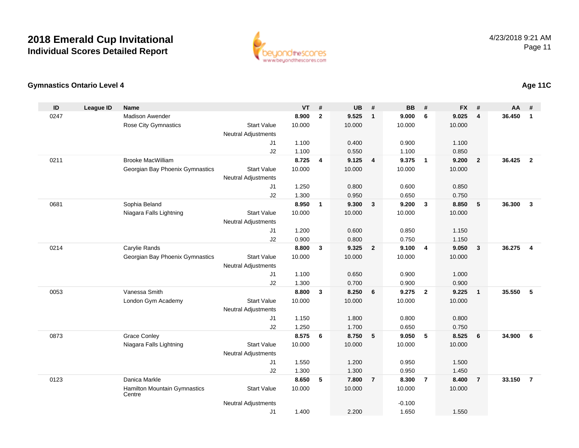

### **Gymnastics Ontario Level 4**

| ID   | <b>League ID</b> | <b>Name</b>                            |                            | <b>VT</b>      | #              | <b>UB</b>      | #                       | <b>BB</b>      | #              | <b>FX</b> | #              | <b>AA</b> | #              |
|------|------------------|----------------------------------------|----------------------------|----------------|----------------|----------------|-------------------------|----------------|----------------|-----------|----------------|-----------|----------------|
| 0247 |                  | <b>Madison Awender</b>                 |                            | 8.900          | $\overline{2}$ | 9.525          | $\overline{1}$          | 9.000          | 6              | 9.025     | 4              | 36.450    | $\mathbf{1}$   |
|      |                  | <b>Rose City Gymnastics</b>            | <b>Start Value</b>         | 10.000         |                | 10.000         |                         | 10.000         |                | 10.000    |                |           |                |
|      |                  |                                        | <b>Neutral Adjustments</b> |                |                |                |                         |                |                |           |                |           |                |
|      |                  |                                        | J1                         | 1.100          |                | 0.400          |                         | 0.900          |                | 1.100     |                |           |                |
|      |                  |                                        | J2                         | 1.100          |                | 0.550          |                         | 1.100          |                | 0.850     |                |           |                |
| 0211 |                  | <b>Brooke MacWilliam</b>               |                            | 8.725          | $\overline{4}$ | 9.125          | $\overline{4}$          | 9.375          | $\overline{1}$ | 9.200     | $\overline{2}$ | 36.425    | $\overline{2}$ |
|      |                  | Georgian Bay Phoenix Gymnastics        | <b>Start Value</b>         | 10.000         |                | 10.000         |                         | 10.000         |                | 10.000    |                |           |                |
|      |                  |                                        | <b>Neutral Adjustments</b> |                |                |                |                         |                |                |           |                |           |                |
|      |                  |                                        | J <sub>1</sub>             | 1.250          |                | 0.800          |                         | 0.600          |                | 0.850     |                |           |                |
|      |                  |                                        | J2                         | 1.300          |                | 0.950          |                         | 0.650          |                | 0.750     |                |           |                |
| 0681 |                  | Sophia Beland                          |                            | 8.950          | $\mathbf{1}$   | 9.300          | $\overline{\mathbf{3}}$ | 9.200          | 3              | 8.850     | 5              | 36.300    | $\mathbf{3}$   |
|      |                  | Niagara Falls Lightning                | <b>Start Value</b>         | 10.000         |                | 10.000         |                         | 10.000         |                | 10.000    |                |           |                |
|      |                  |                                        | <b>Neutral Adjustments</b> |                |                |                |                         |                |                |           |                |           |                |
|      |                  |                                        | J <sub>1</sub>             | 1.200          |                | 0.600          |                         | 0.850          |                | 1.150     |                |           |                |
|      |                  |                                        | J2                         | 0.900          |                | 0.800          |                         | 0.750          |                | 1.150     |                |           |                |
| 0214 |                  | Carylie Rands                          |                            | 8.800          | $\mathbf{3}$   | 9.325          | $\overline{\mathbf{2}}$ | 9.100          | $\overline{4}$ | 9.050     | 3              | 36.275    | 4              |
|      |                  | Georgian Bay Phoenix Gymnastics        | <b>Start Value</b>         | 10.000         |                | 10.000         |                         | 10.000         |                | 10.000    |                |           |                |
|      |                  |                                        | <b>Neutral Adjustments</b> |                |                |                |                         |                |                | 1.000     |                |           |                |
|      |                  |                                        | J1<br>J2                   | 1.100<br>1.300 |                | 0.650<br>0.700 |                         | 0.900<br>0.900 |                | 0.900     |                |           |                |
| 0053 |                  | Vanessa Smith                          |                            | 8.800          | $\mathbf{3}$   | 8.250          | 6                       | 9.275          | $\overline{2}$ | 9.225     | $\mathbf{1}$   | 35.550    | 5              |
|      |                  | London Gym Academy                     | <b>Start Value</b>         | 10.000         |                | 10.000         |                         | 10.000         |                | 10.000    |                |           |                |
|      |                  |                                        | <b>Neutral Adjustments</b> |                |                |                |                         |                |                |           |                |           |                |
|      |                  |                                        | J1                         | 1.150          |                | 1.800          |                         | 0.800          |                | 0.800     |                |           |                |
|      |                  |                                        | J2                         | 1.250          |                | 1.700          |                         | 0.650          |                | 0.750     |                |           |                |
| 0873 |                  | <b>Grace Conley</b>                    |                            | 8.575          | 6              | 8.750          | $-5$                    | 9.050          | 5              | 8.525     | 6              | 34.900    | 6              |
|      |                  | Niagara Falls Lightning                | <b>Start Value</b>         | 10.000         |                | 10.000         |                         | 10.000         |                | 10.000    |                |           |                |
|      |                  |                                        | <b>Neutral Adjustments</b> |                |                |                |                         |                |                |           |                |           |                |
|      |                  |                                        | J <sub>1</sub>             | 1.550          |                | 1.200          |                         | 0.950          |                | 1.500     |                |           |                |
|      |                  |                                        | J2                         | 1.300          |                | 1.300          |                         | 0.950          |                | 1.450     |                |           |                |
| 0123 |                  | Danica Markle                          |                            | 8.650          | 5              | 7.800          | $\overline{7}$          | 8.300          | $\overline{7}$ | 8.400     | $\overline{7}$ | 33.150    | $\overline{7}$ |
|      |                  | Hamilton Mountain Gymnastics<br>Centre | <b>Start Value</b>         | 10.000         |                | 10.000         |                         | 10.000         |                | 10.000    |                |           |                |
|      |                  |                                        | <b>Neutral Adjustments</b> |                |                |                |                         | $-0.100$       |                |           |                |           |                |
|      |                  |                                        | J1                         | 1.400          |                | 2.200          |                         | 1.650          |                | 1.550     |                |           |                |

### **Age 11C**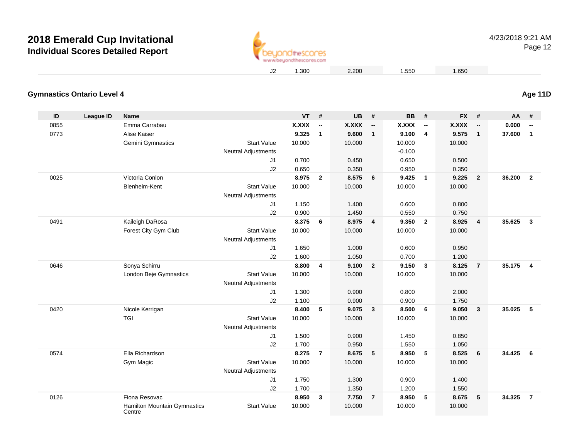

### **Age 11D**

| <b>Gymnastics Ontario Level 4</b> |  |
|-----------------------------------|--|
|                                   |  |

| ID   | <b>League ID</b> | Name                                          |                            | $VT$ #       |                          | UB           | #                        | <b>BB</b> | #                        | <b>FX</b>    | #                        | <b>AA</b> | #                        |
|------|------------------|-----------------------------------------------|----------------------------|--------------|--------------------------|--------------|--------------------------|-----------|--------------------------|--------------|--------------------------|-----------|--------------------------|
| 0855 |                  | Emma Carrabau                                 |                            | <b>X.XXX</b> | $\overline{\phantom{a}}$ | <b>X.XXX</b> | $\overline{\phantom{a}}$ | X.XXX     | $\overline{\phantom{a}}$ | <b>X.XXX</b> | $\overline{\phantom{a}}$ | 0.000     | $\overline{\phantom{a}}$ |
| 0773 |                  | Alise Kaiser                                  |                            | 9.325        | $\mathbf{1}$             | 9.600        | $\mathbf{1}$             | 9.100     | $\overline{\mathbf{4}}$  | 9.575        | $\mathbf{1}$             | 37.600    | $\mathbf{1}$             |
|      |                  | Gemini Gymnastics                             | <b>Start Value</b>         | 10.000       |                          | 10.000       |                          | 10.000    |                          | 10.000       |                          |           |                          |
|      |                  |                                               | <b>Neutral Adjustments</b> |              |                          |              |                          | $-0.100$  |                          |              |                          |           |                          |
|      |                  |                                               | J <sub>1</sub>             | 0.700        |                          | 0.450        |                          | 0.650     |                          | 0.500        |                          |           |                          |
|      |                  |                                               | J2                         | 0.650        |                          | 0.350        |                          | 0.950     |                          | 0.350        |                          |           |                          |
| 0025 |                  | Victoria Conlon                               |                            | 8.975        | $\overline{2}$           | 8.575        | 6                        | 9.425     | $\overline{\mathbf{1}}$  | 9.225        | $\overline{2}$           | 36.200    | $\overline{2}$           |
|      |                  | Blenheim-Kent                                 | <b>Start Value</b>         | 10.000       |                          | 10.000       |                          | 10.000    |                          | 10.000       |                          |           |                          |
|      |                  |                                               | <b>Neutral Adjustments</b> |              |                          |              |                          |           |                          |              |                          |           |                          |
|      |                  |                                               | J1                         | 1.150        |                          | 1.400        |                          | 0.600     |                          | 0.800        |                          |           |                          |
|      |                  |                                               | J2                         | 0.900        |                          | 1.450        |                          | 0.550     |                          | 0.750        |                          |           |                          |
| 0491 |                  | Kaileigh DaRosa                               |                            | 8.375        | 6                        | 8.975        | $\overline{\mathbf{4}}$  | 9.350     | $\overline{2}$           | 8.925        | $\overline{4}$           | 35.625    | $\mathbf{3}$             |
|      |                  | Forest City Gym Club                          | <b>Start Value</b>         | 10.000       |                          | 10.000       |                          | 10.000    |                          | 10.000       |                          |           |                          |
|      |                  |                                               | <b>Neutral Adjustments</b> |              |                          |              |                          |           |                          |              |                          |           |                          |
|      |                  |                                               | J <sub>1</sub>             | 1.650        |                          | 1.000        |                          | 0.600     |                          | 0.950        |                          |           |                          |
|      |                  |                                               | J2                         | 1.600        |                          | 1.050        |                          | 0.700     |                          | 1.200        |                          |           |                          |
| 0646 |                  | Sonya Schirru                                 |                            | 8.800        | 4                        | 9.100        | $\overline{2}$           | 9.150     | $\mathbf{3}$             | 8.125        | $\overline{7}$           | 35.175    | $\overline{4}$           |
|      |                  | London Beje Gymnastics                        | <b>Start Value</b>         | 10.000       |                          | 10.000       |                          | 10.000    |                          | 10.000       |                          |           |                          |
|      |                  |                                               | <b>Neutral Adjustments</b> |              |                          |              |                          |           |                          |              |                          |           |                          |
|      |                  |                                               | J1                         | 1.300        |                          | 0.900        |                          | 0.800     |                          | 2.000        |                          |           |                          |
|      |                  |                                               | J2                         | 1.100        |                          | 0.900        |                          | 0.900     |                          | 1.750        |                          |           |                          |
| 0420 |                  | Nicole Kerrigan                               |                            | 8.400        | 5                        | 9.075        | $\mathbf{3}$             | 8.500     | 6                        | 9.050        | 3                        | 35.025    | 5                        |
|      |                  | <b>TGI</b>                                    | <b>Start Value</b>         | 10.000       |                          | 10.000       |                          | 10.000    |                          | 10.000       |                          |           |                          |
|      |                  |                                               | <b>Neutral Adjustments</b> |              |                          |              |                          |           |                          |              |                          |           |                          |
|      |                  |                                               | J <sub>1</sub>             | 1.500        |                          | 0.900        |                          | 1.450     |                          | 0.850        |                          |           |                          |
|      |                  |                                               | J2                         | 1.700        |                          | 0.950        |                          | 1.550     |                          | 1.050        |                          |           |                          |
| 0574 |                  | Ella Richardson                               |                            | 8.275        | $\overline{7}$           | 8.675        | $-5$                     | 8.950     | -5                       | 8.525        | 6                        | 34.425    | 6                        |
|      |                  | Gym Magic                                     | <b>Start Value</b>         | 10.000       |                          | 10.000       |                          | 10.000    |                          | 10.000       |                          |           |                          |
|      |                  |                                               | <b>Neutral Adjustments</b> |              |                          |              |                          |           |                          |              |                          |           |                          |
|      |                  |                                               | J <sub>1</sub>             | 1.750        |                          | 1.300        |                          | 0.900     |                          | 1.400        |                          |           |                          |
|      |                  |                                               | J2                         | 1.700        |                          | 1.350        |                          | 1.200     |                          | 1.550        |                          |           |                          |
| 0126 |                  | Fiona Resovac                                 |                            | 8.950        | $\mathbf{3}$             | 7.750        | $\overline{7}$           | 8.950     | 5                        | 8.675        | 5                        | 34.325    | $\overline{7}$           |
|      |                  | <b>Hamilton Mountain Gymnastics</b><br>Centre | <b>Start Value</b>         | 10.000       |                          | 10.000       |                          | 10.000    |                          | 10.000       |                          |           |                          |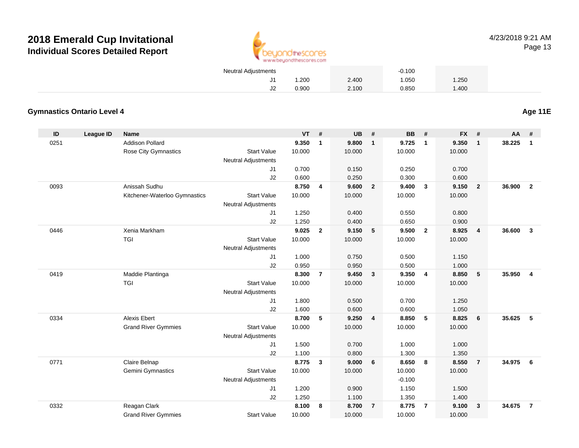

| Neutral Adjustments |       |       | $-0.100$ |       |  |
|---------------------|-------|-------|----------|-------|--|
|                     | .200  | 2.400 | .050     | 1.250 |  |
|                     | 0.900 | 2.100 | 0.850    | 1.400 |  |

### **Gymnastics Ontario Level 4**

**Age 11E**

| ID   | <b>League ID</b> | <b>Name</b>                   |                            | <b>VT</b> | #                       | <b>UB</b> | #              | <b>BB</b> | #                       | <b>FX</b> | #                       | AA     | #              |
|------|------------------|-------------------------------|----------------------------|-----------|-------------------------|-----------|----------------|-----------|-------------------------|-----------|-------------------------|--------|----------------|
| 0251 |                  | <b>Addison Pollard</b>        |                            | 9.350     | $\mathbf{1}$            | 9.800     | $\mathbf{1}$   | 9.725     | $\mathbf{1}$            | 9.350     | $\mathbf{1}$            | 38.225 | $\mathbf{1}$   |
|      |                  | Rose City Gymnastics          | <b>Start Value</b>         | 10.000    |                         | 10.000    |                | 10.000    |                         | 10.000    |                         |        |                |
|      |                  |                               | <b>Neutral Adjustments</b> |           |                         |           |                |           |                         |           |                         |        |                |
|      |                  |                               | J1                         | 0.700     |                         | 0.150     |                | 0.250     |                         | 0.700     |                         |        |                |
|      |                  |                               | J2                         | 0.600     |                         | 0.250     |                | 0.300     |                         | 0.600     |                         |        |                |
| 0093 |                  | Anissah Sudhu                 |                            | 8.750     | $\overline{\mathbf{4}}$ | 9.600     | $\overline{2}$ | 9.400     | $\overline{\mathbf{3}}$ | 9.150     | $\overline{\mathbf{2}}$ | 36.900 | $\overline{2}$ |
|      |                  | Kitchener-Waterloo Gymnastics | <b>Start Value</b>         | 10.000    |                         | 10.000    |                | 10.000    |                         | 10.000    |                         |        |                |
|      |                  |                               | Neutral Adjustments        |           |                         |           |                |           |                         |           |                         |        |                |
|      |                  |                               | J1                         | 1.250     |                         | 0.400     |                | 0.550     |                         | 0.800     |                         |        |                |
|      |                  |                               | J2                         | 1.250     |                         | 0.400     |                | 0.650     |                         | 0.900     |                         |        |                |
| 0446 |                  | Xenia Markham                 |                            | 9.025     | $\overline{2}$          | 9.150     | 5              | 9.500     | $\overline{2}$          | 8.925     | $\overline{4}$          | 36.600 | $\mathbf{3}$   |
|      |                  | <b>TGI</b>                    | <b>Start Value</b>         | 10.000    |                         | 10.000    |                | 10.000    |                         | 10.000    |                         |        |                |
|      |                  |                               | <b>Neutral Adjustments</b> |           |                         |           |                |           |                         |           |                         |        |                |
|      |                  |                               | J1                         | 1.000     |                         | 0.750     |                | 0.500     |                         | 1.150     |                         |        |                |
|      |                  |                               | J2                         | 0.950     |                         | 0.950     |                | 0.500     |                         | 1.000     |                         |        |                |
| 0419 |                  | Maddie Plantinga              |                            | 8.300     | $\overline{7}$          | 9.450     | $\mathbf{3}$   | 9.350     | $\overline{4}$          | 8.850     | 5                       | 35.950 | $\overline{4}$ |
|      |                  | <b>TGI</b>                    | <b>Start Value</b>         | 10.000    |                         | 10.000    |                | 10.000    |                         | 10.000    |                         |        |                |
|      |                  |                               | <b>Neutral Adjustments</b> |           |                         |           |                |           |                         |           |                         |        |                |
|      |                  |                               | J1                         | 1.800     |                         | 0.500     |                | 0.700     |                         | 1.250     |                         |        |                |
|      |                  |                               | J2                         | 1.600     |                         | 0.600     |                | 0.600     |                         | 1.050     |                         |        |                |
| 0334 |                  | <b>Alexis Ebert</b>           |                            | 8.700     | 5                       | 9.250     | $\overline{4}$ | 8.850     | $-5$                    | 8.825     | 6                       | 35.625 | 5              |
|      |                  | <b>Grand River Gymmies</b>    | <b>Start Value</b>         | 10.000    |                         | 10.000    |                | 10.000    |                         | 10.000    |                         |        |                |
|      |                  |                               | <b>Neutral Adjustments</b> |           |                         |           |                |           |                         |           |                         |        |                |
|      |                  |                               | J1                         | 1.500     |                         | 0.700     |                | 1.000     |                         | 1.000     |                         |        |                |
|      |                  |                               | J2                         | 1.100     |                         | 0.800     |                | 1.300     |                         | 1.350     |                         |        |                |
| 0771 |                  | Claire Belnap                 |                            | 8.775     | $\mathbf{3}$            | 9.000     | 6              | 8.650     | 8                       | 8.550     | $\overline{7}$          | 34.975 | 6              |
|      |                  | <b>Gemini Gymnastics</b>      | <b>Start Value</b>         | 10.000    |                         | 10.000    |                | 10.000    |                         | 10.000    |                         |        |                |
|      |                  |                               | Neutral Adjustments        |           |                         |           |                | $-0.100$  |                         |           |                         |        |                |
|      |                  |                               | J1                         | 1.200     |                         | 0.900     |                | 1.150     |                         | 1.500     |                         |        |                |
|      |                  |                               | J2                         | 1.250     |                         | 1.100     |                | 1.350     |                         | 1.400     |                         |        |                |
| 0332 |                  | Reagan Clark                  |                            | 8.100     | 8                       | 8.700     | $\overline{7}$ | 8.775     | $\overline{7}$          | 9.100     | 3                       | 34.675 | $\overline{7}$ |
|      |                  | <b>Grand River Gymmies</b>    | <b>Start Value</b>         | 10.000    |                         | 10.000    |                | 10.000    |                         | 10.000    |                         |        |                |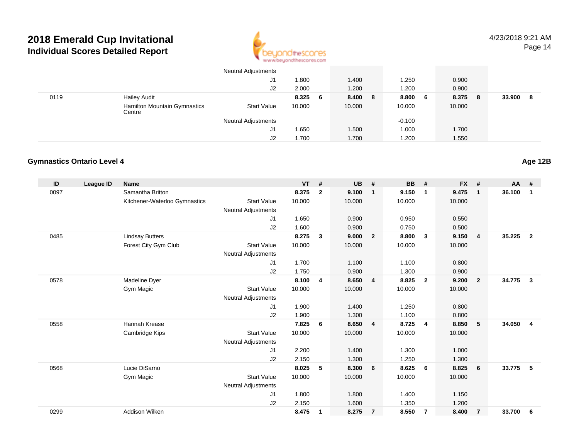

|      |                                               | <b>Neutral Adjustments</b> |        |     |        |   |          |        |     |        |    |
|------|-----------------------------------------------|----------------------------|--------|-----|--------|---|----------|--------|-----|--------|----|
|      |                                               | J1                         | 800. ا |     | 1.400  |   | 1.250    | 0.900  |     |        |    |
|      |                                               | J2                         | 2.000  |     | 1.200  |   | 1.200    | 0.900  |     |        |    |
| 0119 | <b>Hailey Audit</b>                           |                            | 8.325  | - 6 | 8.400  | 8 | 8.800 6  | 8.375  | - 8 | 33.900 | -8 |
|      | <b>Hamilton Mountain Gymnastics</b><br>Centre | <b>Start Value</b>         | 10.000 |     | 10.000 |   | 10.000   | 10.000 |     |        |    |
|      |                                               | <b>Neutral Adjustments</b> |        |     |        |   | $-0.100$ |        |     |        |    |
|      |                                               | J1                         | .650   |     | 1.500  |   | 1.000    | 1.700  |     |        |    |
|      |                                               | J2                         | 1.700  |     | 1.700  |   | 1.200    | 1.550  |     |        |    |

### **Gymnastics Ontario Level 4**

| ID   | League ID | <b>Name</b>                   |                            | <b>VT</b> | #            | <b>UB</b> | #              | <b>BB</b> | #                       | <b>FX</b> | #              | <b>AA</b> | #              |
|------|-----------|-------------------------------|----------------------------|-----------|--------------|-----------|----------------|-----------|-------------------------|-----------|----------------|-----------|----------------|
| 0097 |           | Samantha Britton              |                            | 8.375     | $\mathbf{2}$ | 9.100     | $\mathbf{1}$   | 9.150     | $\mathbf 1$             | 9.475     | $\mathbf{1}$   | 36.100    | 1              |
|      |           | Kitchener-Waterloo Gymnastics | <b>Start Value</b>         | 10.000    |              | 10.000    |                | 10.000    |                         | 10.000    |                |           |                |
|      |           |                               | <b>Neutral Adjustments</b> |           |              |           |                |           |                         |           |                |           |                |
|      |           |                               | J <sub>1</sub>             | 1.650     |              | 0.900     |                | 0.950     |                         | 0.550     |                |           |                |
|      |           |                               | J2                         | 1.600     |              | 0.900     |                | 0.750     |                         | 0.500     |                |           |                |
| 0485 |           | <b>Lindsay Butters</b>        |                            | 8.275     | $\mathbf{3}$ | 9.000     | $\overline{2}$ | 8.800     | $\mathbf{3}$            | 9.150     | $\overline{4}$ | 35.225    | $\overline{2}$ |
|      |           | Forest City Gym Club          | <b>Start Value</b>         | 10.000    |              | 10.000    |                | 10.000    |                         | 10.000    |                |           |                |
|      |           |                               | <b>Neutral Adjustments</b> |           |              |           |                |           |                         |           |                |           |                |
|      |           |                               | J <sub>1</sub>             | 1.700     |              | 1.100     |                | 1.100     |                         | 0.800     |                |           |                |
|      |           |                               | J2                         | 1.750     |              | 0.900     |                | 1.300     |                         | 0.900     |                |           |                |
| 0578 |           | Madeline Dyer                 |                            | 8.100     | 4            | 8.650     | $\overline{4}$ | 8.825     | $\overline{\mathbf{2}}$ | 9.200     | $\overline{2}$ | 34.775    | 3              |
|      |           | Gym Magic                     | <b>Start Value</b>         | 10.000    |              | 10.000    |                | 10.000    |                         | 10.000    |                |           |                |
|      |           |                               | <b>Neutral Adjustments</b> |           |              |           |                |           |                         |           |                |           |                |
|      |           |                               | J1                         | 1.900     |              | 1.400     |                | 1.250     |                         | 0.800     |                |           |                |
|      |           |                               | J2                         | 1.900     |              | 1.300     |                | 1.100     |                         | 0.800     |                |           |                |
| 0558 |           | Hannah Krease                 |                            | 7.825     | 6            | 8.650     | $\overline{4}$ | 8.725     | $\overline{4}$          | 8.850     | 5              | 34.050    | 4              |
|      |           | Cambridge Kips                | <b>Start Value</b>         | 10.000    |              | 10.000    |                | 10.000    |                         | 10.000    |                |           |                |
|      |           |                               | <b>Neutral Adjustments</b> |           |              |           |                |           |                         |           |                |           |                |
|      |           |                               | J <sub>1</sub>             | 2.200     |              | 1.400     |                | 1.300     |                         | 1.000     |                |           |                |
|      |           |                               | J2                         | 2.150     |              | 1.300     |                | 1.250     |                         | 1.300     |                |           |                |
| 0568 |           | Lucie DiSarno                 |                            | 8.025     | 5            | 8.300     | 6              | 8.625     | - 6                     | 8.825     | 6              | 33.775    | 5              |
|      |           | Gym Magic                     | <b>Start Value</b>         | 10.000    |              | 10.000    |                | 10.000    |                         | 10.000    |                |           |                |
|      |           |                               | <b>Neutral Adjustments</b> |           |              |           |                |           |                         |           |                |           |                |
|      |           |                               | J <sub>1</sub>             | 1.800     |              | 1.800     |                | 1.400     |                         | 1.150     |                |           |                |
|      |           |                               | J <sub>2</sub>             | 2.150     |              | 1.600     |                | 1.350     |                         | 1.200     |                |           |                |
| 0299 |           | Addison Wilken                |                            | 8.475     | $\mathbf 1$  | 8.275     | $\overline{7}$ | 8.550     | $\overline{7}$          | 8.400     | $\overline{7}$ | 33.700    | 6              |

**Age 12B**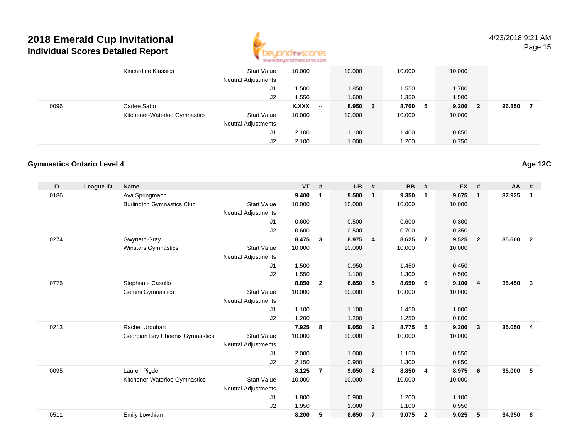

4/23/2018 9:21 AMPage 15

|      | Kincardine Klassics           | <b>Start Value</b><br><b>Neutral Adjustments</b> | 10.000 | 10.000                   |         | 10.000 |     | 10.000 |    |        |  |
|------|-------------------------------|--------------------------------------------------|--------|--------------------------|---------|--------|-----|--------|----|--------|--|
|      |                               | J1                                               | .500   | 1.850                    |         | 1.550  |     | 1.700  |    |        |  |
|      |                               | J2                                               | .550   | 1.600                    |         | 1.350  |     | 1.500  |    |        |  |
| 0096 | Carlee Sabo                   |                                                  | X.XXX  | $\overline{\phantom{a}}$ | 8.950 3 | 8.700  | - 5 | 9.200  | -2 | 26.850 |  |
|      | Kitchener-Waterloo Gymnastics | <b>Start Value</b>                               | 10.000 | 10.000                   |         | 10.000 |     | 10.000 |    |        |  |
|      |                               | <b>Neutral Adjustments</b>                       |        |                          |         |        |     |        |    |        |  |
|      |                               | J1                                               | 2.100  | 1.100                    |         | 1.400  |     | 0.850  |    |        |  |
|      |                               | J2                                               | 2.100  | 1.000                    |         | 1.200  |     | 0.750  |    |        |  |

#### **Gymnastics Ontario Level 4**

| ID   | <b>League ID</b> | <b>Name</b>                       |                            | <b>VT</b> | #              | <b>UB</b> | #                       | <b>BB</b> | #              | <b>FX</b> | #              | $AA$ # |                |
|------|------------------|-----------------------------------|----------------------------|-----------|----------------|-----------|-------------------------|-----------|----------------|-----------|----------------|--------|----------------|
| 0186 |                  | Ava Springmann                    |                            | 9.400     | 1              | 9.500     | $\overline{\mathbf{1}}$ | 9.350     | $\mathbf{1}$   | 9.675     | $\mathbf{1}$   | 37.925 | 1              |
|      |                  | <b>Burlington Gymnastics Club</b> | <b>Start Value</b>         | 10.000    |                | 10.000    |                         | 10.000    |                | 10.000    |                |        |                |
|      |                  |                                   | <b>Neutral Adjustments</b> |           |                |           |                         |           |                |           |                |        |                |
|      |                  |                                   | J1                         | 0.600     |                | 0.500     |                         | 0.600     |                | 0.300     |                |        |                |
|      |                  |                                   | J2                         | 0.600     |                | 0.500     |                         | 0.700     |                | 0.350     |                |        |                |
| 0274 |                  | Gwyneth Gray                      |                            | 8.475     | $\mathbf{3}$   | 8.975     | $\overline{4}$          | 8.625     | $\overline{7}$ | 9.525     | $\overline{2}$ | 35.600 | $\overline{2}$ |
|      |                  | <b>Winstars Gymnastics</b>        | <b>Start Value</b>         | 10.000    |                | 10.000    |                         | 10.000    |                | 10.000    |                |        |                |
|      |                  |                                   | <b>Neutral Adjustments</b> |           |                |           |                         |           |                |           |                |        |                |
|      |                  |                                   | J1                         | 1.500     |                | 0.950     |                         | 1.450     |                | 0.450     |                |        |                |
|      |                  |                                   | J2                         | 1.550     |                | 1.100     |                         | 1.300     |                | 0.500     |                |        |                |
| 0776 |                  | Stephanie Casullo                 |                            | 8.850     | $\overline{2}$ | 8.850     | 5                       | 8.650     | 6              | 9.100     | $\overline{4}$ | 35.450 | $\mathbf{3}$   |
|      |                  | <b>Gemini Gymnastics</b>          | <b>Start Value</b>         | 10.000    |                | 10.000    |                         | 10.000    |                | 10.000    |                |        |                |
|      |                  |                                   | <b>Neutral Adjustments</b> |           |                |           |                         |           |                |           |                |        |                |
|      |                  |                                   | J1                         | 1.100     |                | 1.100     |                         | 1.450     |                | 1.000     |                |        |                |
|      |                  |                                   | J2                         | 1.200     |                | 1.200     |                         | 1.250     |                | 0.800     |                |        |                |
| 0213 |                  | Rachel Urquhart                   |                            | 7.925     | 8              | 9.050     | $\overline{\mathbf{2}}$ | 8.775     | 5              | 9.300     | $\mathbf{3}$   | 35.050 | $\overline{4}$ |
|      |                  | Georgian Bay Phoenix Gymnastics   | <b>Start Value</b>         | 10.000    |                | 10.000    |                         | 10.000    |                | 10.000    |                |        |                |
|      |                  |                                   | <b>Neutral Adjustments</b> |           |                |           |                         |           |                |           |                |        |                |
|      |                  |                                   | J1                         | 2.000     |                | 1.000     |                         | 1.150     |                | 0.550     |                |        |                |
|      |                  |                                   | J2                         | 2.150     |                | 0.900     |                         | 1.300     |                | 0.850     |                |        |                |
| 0095 |                  | Lauren Pigden                     |                            | 8.125     | $\overline{7}$ | 9.050     | $\overline{\mathbf{2}}$ | 8.850     | $\overline{4}$ | 8.975     | 6              | 35.000 | 5              |
|      |                  | Kitchener-Waterloo Gymnastics     | <b>Start Value</b>         | 10.000    |                | 10.000    |                         | 10.000    |                | 10.000    |                |        |                |
|      |                  |                                   | <b>Neutral Adjustments</b> |           |                |           |                         |           |                |           |                |        |                |
|      |                  |                                   | J <sub>1</sub>             | 1.800     |                | 0.900     |                         | 1.200     |                | 1.100     |                |        |                |
|      |                  |                                   | J2                         | 1.950     |                | 1.000     |                         | 1.100     |                | 0.950     |                |        |                |
| 0511 |                  | Emily Lowthian                    |                            | 8.200     | 5              | 8.650     | $\overline{7}$          | 9.075     | $\overline{2}$ | 9.025     | 5              | 34.950 | 6              |

**Age 12C**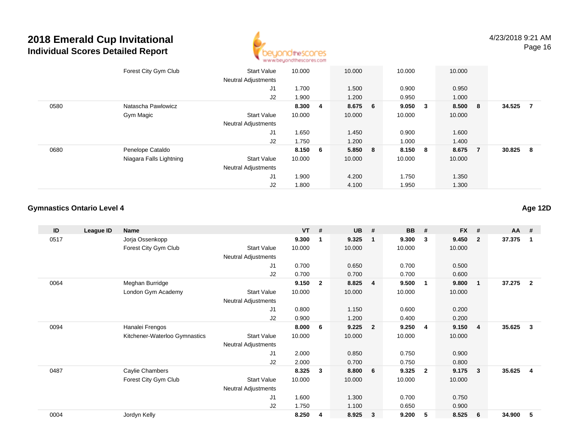

|      | Forest City Gym Club    | <b>Start Value</b><br><b>Neutral Adjustments</b> | 10.000  | 10.000  | 10.000 |                         | 10.000  |                |        |                |
|------|-------------------------|--------------------------------------------------|---------|---------|--------|-------------------------|---------|----------------|--------|----------------|
|      |                         | J1                                               | 1.700   | 1.500   | 0.900  |                         | 0.950   |                |        |                |
|      |                         | J2                                               | 1.900   | 1.200   | 0.950  |                         | 1.000   |                |        |                |
| 0580 | Natascha Pawlowicz      |                                                  | 8.300 4 | 8.675 6 | 9.050  | $\overline{\mathbf{3}}$ | 8.500 8 |                | 34.525 | $\overline{7}$ |
|      | Gym Magic               | <b>Start Value</b>                               | 10.000  | 10.000  | 10.000 |                         | 10.000  |                |        |                |
|      |                         | <b>Neutral Adjustments</b>                       |         |         |        |                         |         |                |        |                |
|      |                         | J1                                               | 1.650   | 1.450   | 0.900  |                         | 1.600   |                |        |                |
|      |                         | J2                                               | 1.750   | 1.200   | 1.000  |                         | 1.400   |                |        |                |
| 0680 | Penelope Cataldo        |                                                  | 8.150 6 | 5.850 8 | 8.150  | 8                       | 8.675   | $\overline{7}$ | 30.825 | - 8            |
|      | Niagara Falls Lightning | <b>Start Value</b>                               | 10.000  | 10.000  | 10.000 |                         | 10.000  |                |        |                |
|      |                         | <b>Neutral Adjustments</b>                       |         |         |        |                         |         |                |        |                |
|      |                         | J <sub>1</sub>                                   | 1.900   | 4.200   | 1.750  |                         | 1.350   |                |        |                |
|      |                         | J2                                               | 1.800   | 4.100   | 1.950  |                         | 1.300   |                |        |                |

#### **Gymnastics Ontario Level 4Age 12D**

| 9.300<br>9.325<br>0517<br>Jorja Ossenkopp<br>9.300<br>$\mathbf{3}$<br>1<br>$\mathbf{1}$                  | 9.450<br>$\overline{2}$<br>10.000 | 37.375<br>$\overline{1}$          |
|----------------------------------------------------------------------------------------------------------|-----------------------------------|-----------------------------------|
|                                                                                                          |                                   |                                   |
| Forest City Gym Club<br><b>Start Value</b><br>10.000<br>10.000<br>10.000                                 |                                   |                                   |
| Neutral Adjustments                                                                                      |                                   |                                   |
| 0.700<br>0.650<br>0.700<br>J1                                                                            | 0.500                             |                                   |
| J2<br>0.700<br>0.700<br>0.700                                                                            | 0.600                             |                                   |
| Meghan Burridge<br>9.150<br>8.825<br>9.500<br>0064<br>$\overline{2}$<br>$\overline{4}$<br>$\overline{1}$ | 9.800<br>$\overline{\mathbf{1}}$  | 37.275<br>$\overline{2}$          |
| London Gym Academy<br><b>Start Value</b><br>10.000<br>10.000<br>10.000                                   | 10.000                            |                                   |
| Neutral Adjustments                                                                                      |                                   |                                   |
| J1<br>1.150<br>0.800<br>0.600                                                                            | 0.200                             |                                   |
| J <sub>2</sub><br>0.900<br>1.200<br>0.400                                                                | 0.200                             |                                   |
| 9.225<br>Hanalei Frengos<br>8.000<br>9.250<br>0094<br>6<br>$\overline{2}$<br>4                           | 9.150<br>$\overline{4}$           | 35.625<br>$\overline{\mathbf{3}}$ |
| Kitchener-Waterloo Gymnastics<br><b>Start Value</b><br>10.000<br>10.000<br>10.000                        | 10.000                            |                                   |
| <b>Neutral Adjustments</b>                                                                               |                                   |                                   |
| J1<br>2.000<br>0.850<br>0.750                                                                            | 0.900                             |                                   |
| J2<br>2.000<br>0.700<br>0.750                                                                            | 0.800                             |                                   |
| Caylie Chambers<br>8.325<br>9.325<br>0487<br>3<br>8.800<br>6<br>$\overline{2}$                           | 9.175<br>$\overline{\mathbf{3}}$  | 35.625<br>$\overline{\mathbf{4}}$ |
| Forest City Gym Club<br><b>Start Value</b><br>10.000<br>10.000<br>10.000                                 | 10.000                            |                                   |
| <b>Neutral Adjustments</b>                                                                               |                                   |                                   |
| 1.600<br>1.300<br>0.700<br>J1                                                                            | 0.750                             |                                   |
| J <sub>2</sub><br>1.750<br>1.100<br>0.650                                                                | 0.900                             |                                   |
| 0004<br>8.250<br>8.925<br>9.200<br>5<br>Jordyn Kelly<br>3<br>4                                           | 8.525<br>6                        | 34.900<br>5                       |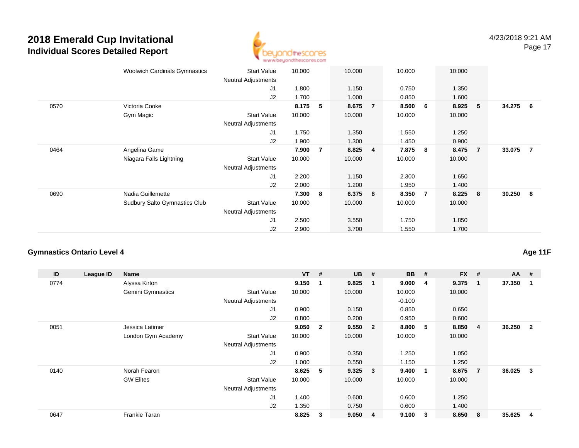

|      | <b>Woolwich Cardinals Gymnastics</b> | <b>Start Value</b><br>Neutral Adjustments | 10.000 |                | 10.000 |                | 10.000 |    | 10.000 |                |          |  |
|------|--------------------------------------|-------------------------------------------|--------|----------------|--------|----------------|--------|----|--------|----------------|----------|--|
|      |                                      | J1                                        | 1.800  |                | 1.150  |                | 0.750  |    | 1.350  |                |          |  |
|      |                                      | J2                                        | 1.700  |                | 1.000  |                | 0.850  |    | 1.600  |                |          |  |
| 0570 | Victoria Cooke                       |                                           | 8.175  | 5              | 8.675  | $\overline{7}$ | 8.500  | 6  | 8.925  | 5              | 34.275 6 |  |
|      | Gym Magic                            | <b>Start Value</b>                        | 10.000 |                | 10.000 |                | 10.000 |    | 10.000 |                |          |  |
|      |                                      | Neutral Adjustments                       |        |                |        |                |        |    |        |                |          |  |
|      |                                      | J1                                        | 1.750  |                | 1.350  |                | 1.550  |    | 1.250  |                |          |  |
|      |                                      | J2                                        | 1.900  |                | 1.300  |                | 1.450  |    | 0.900  |                |          |  |
| 0464 | Angelina Game                        |                                           | 7.900  | $\overline{7}$ | 8.825  | $\overline{4}$ | 7.875  | -8 | 8.475  | $\overline{7}$ | 33.075 7 |  |
|      | Niagara Falls Lightning              | <b>Start Value</b>                        | 10.000 |                | 10.000 |                | 10.000 |    | 10.000 |                |          |  |
|      |                                      | <b>Neutral Adjustments</b>                |        |                |        |                |        |    |        |                |          |  |
|      |                                      | J1                                        | 2.200  |                | 1.150  |                | 2.300  |    | 1.650  |                |          |  |
|      |                                      | J2                                        | 2.000  |                | 1.200  |                | 1.950  |    | 1.400  |                |          |  |
| 0690 | Nadia Guillemette                    |                                           | 7.300  | 8              | 6.375  | 8              | 8.350  | 7  | 8.225  | 8              | 30.250 8 |  |
|      | <b>Sudbury Salto Gymnastics Club</b> | <b>Start Value</b>                        | 10.000 |                | 10.000 |                | 10.000 |    | 10.000 |                |          |  |
|      |                                      | <b>Neutral Adjustments</b>                |        |                |        |                |        |    |        |                |          |  |
|      |                                      | J <sub>1</sub>                            | 2.500  |                | 3.550  |                | 1.750  |    | 1.850  |                |          |  |
|      |                                      | J2                                        | 2.900  |                | 3.700  |                | 1.550  |    | 1.700  |                |          |  |

### **Gymnastics Ontario Level 4**

| ID   | League ID | Name                     |                            | $VT$ # |                         | <b>UB</b> | #                       | <b>BB</b> | #           | <b>FX</b> | #              | $AA$ # |                |
|------|-----------|--------------------------|----------------------------|--------|-------------------------|-----------|-------------------------|-----------|-------------|-----------|----------------|--------|----------------|
| 0774 |           | Alyssa Kirton            |                            | 9.150  |                         | 9.825     | - 1                     | 9.000     | 4           | 9.375     | 1              | 37.350 |                |
|      |           | <b>Gemini Gymnastics</b> | <b>Start Value</b>         | 10.000 |                         | 10.000    |                         | 10.000    |             | 10.000    |                |        |                |
|      |           |                          | <b>Neutral Adjustments</b> |        |                         |           |                         | $-0.100$  |             |           |                |        |                |
|      |           |                          | J <sub>1</sub>             | 0.900  |                         | 0.150     |                         | 0.850     |             | 0.650     |                |        |                |
|      |           |                          | J2                         | 0.800  |                         | 0.200     |                         | 0.950     |             | 0.600     |                |        |                |
| 0051 |           | Jessica Latimer          |                            | 9.050  | $\overline{\mathbf{2}}$ | 9.550     | $\overline{\mathbf{2}}$ | 8.800     | 5           | 8.850     | 4              | 36.250 | $\overline{2}$ |
|      |           | London Gym Academy       | <b>Start Value</b>         | 10.000 |                         | 10.000    |                         | 10.000    |             | 10.000    |                |        |                |
|      |           |                          | Neutral Adjustments        |        |                         |           |                         |           |             |           |                |        |                |
|      |           |                          | J <sub>1</sub>             | 0.900  |                         | 0.350     |                         | 1.250     |             | 1.050     |                |        |                |
|      |           |                          | J2                         | 1.000  |                         | 0.550     |                         | 1.150     |             | 1.250     |                |        |                |
| 0140 |           | Norah Fearon             |                            | 8.625  | 5                       | 9.325     | $\overline{\mathbf{3}}$ | 9.400     | $\mathbf 1$ | 8.675     | $\overline{7}$ | 36.025 | 3              |
|      |           | <b>GW Elites</b>         | <b>Start Value</b>         | 10.000 |                         | 10.000    |                         | 10.000    |             | 10.000    |                |        |                |
|      |           |                          | <b>Neutral Adjustments</b> |        |                         |           |                         |           |             |           |                |        |                |
|      |           |                          | J <sub>1</sub>             | 1.400  |                         | 0.600     |                         | 0.600     |             | 1.250     |                |        |                |
|      |           |                          | J2                         | 1.350  |                         | 0.750     |                         | 0.600     |             | 1.400     |                |        |                |
| 0647 |           | Frankie Taran            |                            | 8.825  | 3                       | 9.050     | $\overline{\mathbf{4}}$ | 9.100     | 3           | 8.650     | 8              | 35.625 | 4              |

**Age 11F**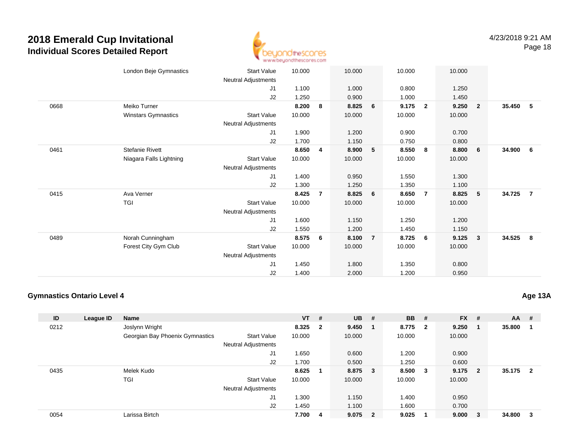

|      | London Beje Gymnastics  | <b>Start Value</b>         | 10.000 |                | 10.000 |                | 10.000 |                | 10.000 |                         |        |                |
|------|-------------------------|----------------------------|--------|----------------|--------|----------------|--------|----------------|--------|-------------------------|--------|----------------|
|      |                         | Neutral Adjustments        |        |                |        |                |        |                |        |                         |        |                |
|      |                         | J1                         | 1.100  |                | 1.000  |                | 0.800  |                | 1.250  |                         |        |                |
|      |                         | J2                         | 1.250  |                | 0.900  |                | 1.000  |                | 1.450  |                         |        |                |
| 0668 | Meiko Turner            |                            | 8.200  | 8              | 8.825  | 6              | 9.175  | $\overline{2}$ | 9.250  | $\overline{\mathbf{2}}$ | 35.450 | - 5            |
|      | Winstars Gymnastics     | Start Value                | 10.000 |                | 10.000 |                | 10.000 |                | 10.000 |                         |        |                |
|      |                         | Neutral Adjustments        |        |                |        |                |        |                |        |                         |        |                |
|      |                         | J1                         | 1.900  |                | 1.200  |                | 0.900  |                | 0.700  |                         |        |                |
|      |                         | J2                         | 1.700  |                | 1.150  |                | 0.750  |                | 0.800  |                         |        |                |
| 0461 | <b>Stefanie Rivett</b>  |                            | 8.650  | $\overline{4}$ | 8.900  | 5              | 8.550  | 8              | 8.800  | 6                       | 34.900 | - 6            |
|      | Niagara Falls Lightning | <b>Start Value</b>         | 10.000 |                | 10.000 |                | 10.000 |                | 10.000 |                         |        |                |
|      |                         | <b>Neutral Adjustments</b> |        |                |        |                |        |                |        |                         |        |                |
|      |                         | J1                         | 1.400  |                | 0.950  |                | 1.550  |                | 1.300  |                         |        |                |
|      |                         | J2                         | 1.300  |                | 1.250  |                | 1.350  |                | 1.100  |                         |        |                |
| 0415 | Ava Verner              |                            | 8.425  | $\overline{7}$ | 8.825  | 6              | 8.650  | $\overline{7}$ | 8.825  | $-5$                    | 34.725 | $\overline{7}$ |
|      | <b>TGI</b>              | <b>Start Value</b>         | 10.000 |                | 10.000 |                | 10.000 |                | 10.000 |                         |        |                |
|      |                         | Neutral Adjustments        |        |                |        |                |        |                |        |                         |        |                |
|      |                         | J1                         | 1.600  |                | 1.150  |                | 1.250  |                | 1.200  |                         |        |                |
|      |                         | J2                         | 1.550  |                | 1.200  |                | 1.450  |                | 1.150  |                         |        |                |
| 0489 | Norah Cunningham        |                            | 8.575  | 6              | 8.100  | $\overline{7}$ | 8.725  | 6              | 9.125  | $\overline{\mathbf{3}}$ | 34.525 | - 8            |
|      | Forest City Gym Club    | <b>Start Value</b>         | 10.000 |                | 10.000 |                | 10.000 |                | 10.000 |                         |        |                |
|      |                         | Neutral Adjustments        |        |                |        |                |        |                |        |                         |        |                |
|      |                         | J1                         | 1.450  |                | 1.800  |                | 1.350  |                | 0.800  |                         |        |                |
|      |                         | J <sub>2</sub>             | 1.400  |                | 2.000  |                | 1.200  |                | 0.950  |                         |        |                |
|      |                         |                            |        |                |        |                |        |                |        |                         |        |                |

#### **Gymnastics Ontario Level 4**

**Age 13A**

| ID   | League ID | <b>Name</b>                     |                            | $VT$ #  |   | $UB$ #    | <b>BB</b> | #      | $FX$ # |                         | AA     | #                       |
|------|-----------|---------------------------------|----------------------------|---------|---|-----------|-----------|--------|--------|-------------------------|--------|-------------------------|
| 0212 |           | Joslynn Wright                  |                            | 8.325 2 |   | 9.450     | 8.775 2   |        | 9.250  | - 1                     | 35.800 | - 1                     |
|      |           | Georgian Bay Phoenix Gymnastics | <b>Start Value</b>         | 10.000  |   | 10.000    | 10.000    |        | 10.000 |                         |        |                         |
|      |           |                                 | <b>Neutral Adjustments</b> |         |   |           |           |        |        |                         |        |                         |
|      |           |                                 | J1                         | 1.650   |   | 0.600     | 1.200     |        | 0.900  |                         |        |                         |
|      |           |                                 | J2                         | 1.700   |   | 0.500     | 1.250     |        | 0.600  |                         |        |                         |
| 0435 |           | Melek Kudo                      |                            | 8.625   |   | 8.875 3   | 8.500     | $_{3}$ | 9.175  | $\overline{\mathbf{2}}$ | 35.175 | $\overline{\mathbf{2}}$ |
|      |           | TGI                             | <b>Start Value</b>         | 10.000  |   | 10.000    | 10.000    |        | 10.000 |                         |        |                         |
|      |           |                                 | <b>Neutral Adjustments</b> |         |   |           |           |        |        |                         |        |                         |
|      |           |                                 | J1                         | 1.300   |   | 1.150     | 1.400     |        | 0.950  |                         |        |                         |
|      |           |                                 | J2                         | 1.450   |   | 1.100     | 1.600     |        | 0.700  |                         |        |                         |
| 0054 |           | Larissa Birtch                  |                            | 7.700   | 4 | $9.075$ 2 | 9.025     |        | 9.000  | $_{3}$                  | 34.800 | - 3                     |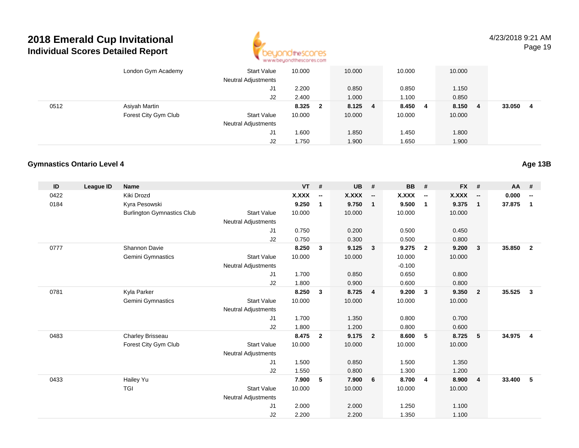

4/23/2018 9:21 AMPage 19

|      | London Gym Academy   | <b>Start Value</b><br><b>Neutral Adjustments</b> | 10.000 |              | 10.000 |   | 10.000 |   | 10.000 |   |        |   |
|------|----------------------|--------------------------------------------------|--------|--------------|--------|---|--------|---|--------|---|--------|---|
|      |                      | J1                                               | 2.200  |              | 0.850  |   | 0.850  |   | 1.150  |   |        |   |
|      |                      | J <sub>2</sub>                                   | 2.400  |              | 1.000  |   | 1.100  |   | 0.850  |   |        |   |
| 0512 | Asiyah Martin        |                                                  | 8.325  | $\mathbf{2}$ | 8.125  | 4 | 8.450  | 4 | 8.150  | 4 | 33.050 | 4 |
|      | Forest City Gym Club | <b>Start Value</b>                               | 10.000 |              | 10.000 |   | 10.000 |   | 10.000 |   |        |   |
|      |                      | <b>Neutral Adjustments</b>                       |        |              |        |   |        |   |        |   |        |   |
|      |                      | J1                                               | 1.600  |              | 1.850  |   | 1.450  |   | 1.800  |   |        |   |
|      |                      | J <sub>2</sub>                                   | 1.750  |              | 1.900  |   | 1.650  |   | 1.900  |   |        |   |

#### **Gymnastics Ontario Level 4**

| ID   | League ID | <b>Name</b>                       |                            | <b>VT</b> | #                        | <b>UB</b>    | #                        | <b>BB</b> | #                        | $FX$ # |                          | <b>AA</b> | #                        |
|------|-----------|-----------------------------------|----------------------------|-----------|--------------------------|--------------|--------------------------|-----------|--------------------------|--------|--------------------------|-----------|--------------------------|
| 0422 |           | Kiki Drozd                        |                            | X.XXX     | $\overline{\phantom{a}}$ | <b>X.XXX</b> | $\overline{\phantom{a}}$ | X.XXX     | $\overline{\phantom{a}}$ | X.XXX  | $\overline{\phantom{a}}$ | 0.000     | $\overline{\phantom{a}}$ |
| 0184 |           | Kyra Pesowski                     |                            | 9.250     | 1                        | 9.750        | $\mathbf{1}$             | 9.500     | $\overline{1}$           | 9.375  | $\overline{1}$           | 37.875    | $\mathbf{1}$             |
|      |           | <b>Burlington Gymnastics Club</b> | <b>Start Value</b>         | 10.000    |                          | 10.000       |                          | 10.000    |                          | 10.000 |                          |           |                          |
|      |           |                                   | <b>Neutral Adjustments</b> |           |                          |              |                          |           |                          |        |                          |           |                          |
|      |           |                                   | J1                         | 0.750     |                          | 0.200        |                          | 0.500     |                          | 0.450  |                          |           |                          |
|      |           |                                   | J2                         | 0.750     |                          | 0.300        |                          | 0.500     |                          | 0.800  |                          |           |                          |
| 0777 |           | Shannon Davie                     |                            | 8.250     | 3                        | 9.125        | 3                        | 9.275     | $\overline{\mathbf{2}}$  | 9.200  | 3                        | 35.850    | $\overline{2}$           |
|      |           | Gemini Gymnastics                 | <b>Start Value</b>         | 10.000    |                          | 10.000       |                          | 10.000    |                          | 10.000 |                          |           |                          |
|      |           |                                   | <b>Neutral Adjustments</b> |           |                          |              |                          | $-0.100$  |                          |        |                          |           |                          |
|      |           |                                   | J1                         | 1.700     |                          | 0.850        |                          | 0.650     |                          | 0.800  |                          |           |                          |
|      |           |                                   | J2                         | 1.800     |                          | 0.900        |                          | 0.600     |                          | 0.800  |                          |           |                          |
| 0781 |           | Kyla Parker                       |                            | 8.250     | $\mathbf{3}$             | 8.725        | $\overline{4}$           | 9.200     | $\mathbf{3}$             | 9.350  | $\overline{2}$           | 35.525    | $\mathbf{3}$             |
|      |           | Gemini Gymnastics                 | <b>Start Value</b>         | 10.000    |                          | 10.000       |                          | 10.000    |                          | 10.000 |                          |           |                          |
|      |           |                                   | <b>Neutral Adjustments</b> |           |                          |              |                          |           |                          |        |                          |           |                          |
|      |           |                                   | J1                         | 1.700     |                          | 1.350        |                          | 0.800     |                          | 0.700  |                          |           |                          |
|      |           |                                   | J2                         | 1.800     |                          | 1.200        |                          | 0.800     |                          | 0.600  |                          |           |                          |
| 0483 |           | Charley Brisseau                  |                            | 8.475     | $\overline{2}$           | 9.175        | $\overline{\mathbf{2}}$  | 8.600     | 5                        | 8.725  | -5                       | 34.975    | $\overline{4}$           |
|      |           | Forest City Gym Club              | <b>Start Value</b>         | 10.000    |                          | 10.000       |                          | 10.000    |                          | 10.000 |                          |           |                          |
|      |           |                                   | Neutral Adjustments        |           |                          |              |                          |           |                          |        |                          |           |                          |
|      |           |                                   | J1                         | 1.500     |                          | 0.850        |                          | 1.500     |                          | 1.350  |                          |           |                          |
|      |           |                                   | J2                         | 1.550     |                          | 0.800        |                          | 1.300     |                          | 1.200  |                          |           |                          |
| 0433 |           | Hailey Yu                         |                            | 7.900     | 5                        | 7.900        | 6                        | 8.700     | 4                        | 8.900  | $\overline{4}$           | 33.400    | 5                        |
|      |           | TGI                               | <b>Start Value</b>         | 10.000    |                          | 10.000       |                          | 10.000    |                          | 10.000 |                          |           |                          |
|      |           |                                   | <b>Neutral Adjustments</b> |           |                          |              |                          |           |                          |        |                          |           |                          |
|      |           |                                   | J <sub>1</sub>             | 2.000     |                          | 2.000        |                          | 1.250     |                          | 1.100  |                          |           |                          |
|      |           |                                   | J2                         | 2.200     |                          | 2.200        |                          | 1.350     |                          | 1.100  |                          |           |                          |

**Age 13B**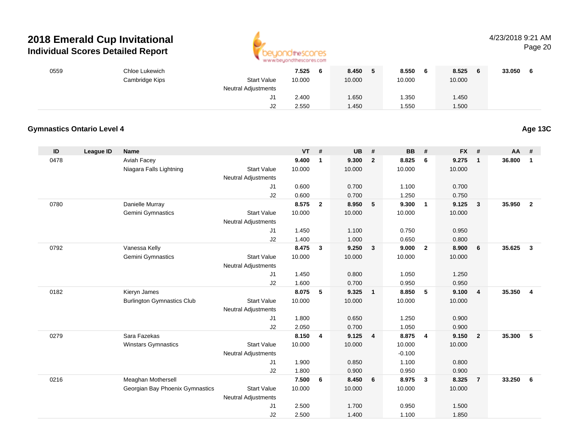

## 4/23/2018 9:21 AM

Page 20

| 0559          |                                   | Chloe Lukewich                                        |                            | 7.525          | $6\phantom{1}6$         | 8.450          | 5              | 8.550          | 6              | 8.525          | 6              | 33.050 6 |                         |
|---------------|-----------------------------------|-------------------------------------------------------|----------------------------|----------------|-------------------------|----------------|----------------|----------------|----------------|----------------|----------------|----------|-------------------------|
|               |                                   | Cambridge Kips                                        | <b>Start Value</b>         | 10.000         |                         | 10.000         |                | 10.000         |                | 10.000         |                |          |                         |
|               |                                   |                                                       | <b>Neutral Adjustments</b> |                |                         |                |                |                |                |                |                |          |                         |
|               |                                   |                                                       | J1                         | 2.400          |                         | 1.650          |                | 1.350          |                | 1.450          |                |          |                         |
|               |                                   |                                                       | J2                         | 2.550          |                         | 1.450          |                | 1.550          |                | 1.500          |                |          |                         |
|               |                                   |                                                       |                            |                |                         |                |                |                |                |                |                |          |                         |
|               | <b>Gymnastics Ontario Level 4</b> |                                                       |                            |                |                         |                |                |                |                |                |                |          | Age 13C                 |
| $\mathsf{ID}$ | <b>League ID</b>                  | <b>Name</b>                                           |                            | <b>VT</b>      | #                       | UB             | $\pmb{\#}$     | BB             | #              | <b>FX</b>      | $\pmb{\#}$     | AA       | #                       |
| 0478          |                                   | Aviah Facey                                           |                            | 9.400          | $\overline{\mathbf{1}}$ | 9.300          | $\overline{2}$ | 8.825          | 6              | 9.275          | $\mathbf{1}$   | 36.800   | $\overline{\mathbf{1}}$ |
|               |                                   | Niagara Falls Lightning                               | <b>Start Value</b>         | 10.000         |                         | 10.000         |                | 10.000         |                | 10.000         |                |          |                         |
|               |                                   |                                                       | Neutral Adjustments        |                |                         |                |                |                |                |                |                |          |                         |
|               |                                   |                                                       | J1                         | 0.600          |                         | 0.700          |                | 1.100          |                | 0.700          |                |          |                         |
|               |                                   |                                                       | J2                         | 0.600          |                         | 0.700          |                | 1.250          |                | 0.750          |                |          |                         |
| 0780          |                                   | Danielle Murray                                       |                            | 8.575          | $\overline{\mathbf{2}}$ | 8.950          | 5              | 9.300          | $\mathbf{1}$   | 9.125          | $\mathbf{3}$   | 35.950   | $\overline{2}$          |
|               |                                   | Gemini Gymnastics                                     | <b>Start Value</b>         | 10.000         |                         | 10.000         |                | 10.000         |                | 10.000         |                |          |                         |
|               |                                   |                                                       | Neutral Adjustments        |                |                         |                |                |                |                |                |                |          |                         |
|               |                                   |                                                       | J1                         | 1.450          |                         | 1.100          |                | 0.750          |                | 0.950          |                |          |                         |
|               |                                   |                                                       | J2                         | 1.400          |                         | 1.000          |                | 0.650          |                | 0.800          |                |          |                         |
| 0792          |                                   | Vanessa Kelly                                         |                            | 8.475          | $\mathbf{3}$            | 9.250          | 3              | 9.000          | $\overline{2}$ | 8.900          | 6              | 35.625   | $\mathbf{3}$            |
|               |                                   | Gemini Gymnastics                                     | <b>Start Value</b>         | 10.000         |                         | 10.000         |                | 10.000         |                | 10.000         |                |          |                         |
|               |                                   |                                                       | <b>Neutral Adjustments</b> |                |                         |                |                |                |                |                |                |          |                         |
|               |                                   |                                                       | J1                         | 1.450          |                         | 0.800          |                | 1.050          |                | 1.250          |                |          |                         |
|               |                                   |                                                       | J2                         | 1.600          |                         | 0.700          |                | 0.950          |                | 0.950          |                |          |                         |
| 0182          |                                   | Kieryn James                                          |                            | 8.075          | 5                       | 9.325          | $\mathbf{1}$   | 8.850          | 5              | 9.100          | 4              | 35.350   | 4                       |
|               |                                   | <b>Burlington Gymnastics Club</b>                     | <b>Start Value</b>         | 10.000         |                         | 10.000         |                | 10.000         |                | 10.000         |                |          |                         |
|               |                                   |                                                       | Neutral Adjustments        |                |                         |                |                |                |                |                |                |          |                         |
|               |                                   |                                                       | J1                         | 1.800          |                         | 0.650          |                | 1.250          |                | 0.900          |                |          |                         |
|               |                                   |                                                       | J2                         | 2.050          |                         | 0.700          |                | 1.050          |                | 0.900          |                |          |                         |
| 0279          |                                   | Sara Fazekas                                          |                            | 8.150 4        |                         | 9.125          | 4              | 8.875          | 4              | 9.150          | $\mathbf{2}$   | 35.300   | $-5$                    |
|               |                                   | Winstars Gymnastics                                   | <b>Start Value</b>         | 10.000         |                         | 10.000         |                | 10.000         |                | 10.000         |                |          |                         |
|               |                                   |                                                       | Neutral Adjustments        |                |                         |                |                | $-0.100$       |                |                |                |          |                         |
|               |                                   |                                                       | J1                         | 1.900          |                         | 0.850          |                | 1.100          |                | 0.800          |                |          |                         |
|               |                                   |                                                       | J2                         | 1.800<br>7.500 | 6                       | 0.900<br>8.450 | 6              | 0.950<br>8.975 | $\mathbf{3}$   | 0.900<br>8.325 | $\overline{7}$ | 33.250   | $6\phantom{1}6$         |
| 0216          |                                   | Meaghan Mothersell<br>Georgian Bay Phoenix Gymnastics | <b>Start Value</b>         | 10.000         |                         | 10.000         |                | 10.000         |                | 10.000         |                |          |                         |
|               |                                   |                                                       | <b>Neutral Adjustments</b> |                |                         |                |                |                |                |                |                |          |                         |
|               |                                   |                                                       | J1                         | 2.500          |                         | 1.700          |                | 0.950          |                | 1.500          |                |          |                         |
|               |                                   |                                                       | J2                         | 2.500          |                         | 1.400          |                | 1.100          |                | 1.850          |                |          |                         |
|               |                                   |                                                       |                            |                |                         |                |                |                |                |                |                |          |                         |

2.500 1.400 1.100 1.850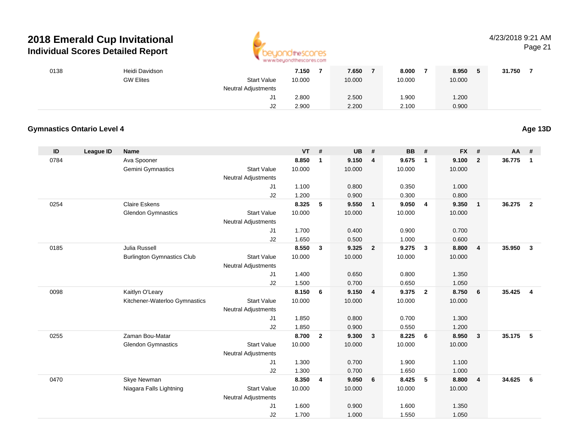

## 4/23/2018 9:21 AM

Page 21

| 0138 |                                   | Heidi Davidson                    |                            | 7.150     | $\overline{7}$          | 7.650     | $\overline{7}$ | 8.000     | $\overline{7}$          | 8.950     | $\sqrt{5}$   | 31.750   | $\overline{7}$          |
|------|-----------------------------------|-----------------------------------|----------------------------|-----------|-------------------------|-----------|----------------|-----------|-------------------------|-----------|--------------|----------|-------------------------|
|      |                                   | <b>GW Elites</b>                  | Start Value                | 10.000    |                         | 10.000    |                | 10.000    |                         | 10.000    |              |          |                         |
|      |                                   |                                   | Neutral Adjustments        |           |                         |           |                |           |                         |           |              |          |                         |
|      |                                   |                                   | J1                         | 2.800     |                         | 2.500     |                | 1.900     |                         | 1.200     |              |          |                         |
|      |                                   |                                   | J2                         | 2.900     |                         | 2.200     |                | 2.100     |                         | 0.900     |              |          |                         |
|      |                                   |                                   |                            |           |                         |           |                |           |                         |           |              |          |                         |
|      | <b>Gymnastics Ontario Level 4</b> |                                   |                            |           |                         |           |                |           |                         |           |              |          | Age 13D                 |
| ID   | <b>League ID</b>                  | <b>Name</b>                       |                            | <b>VT</b> | #                       | <b>UB</b> | #              | <b>BB</b> | #                       | <b>FX</b> | #            | AA       | #                       |
| 0784 |                                   | Ava Spooner                       |                            | 8.850     | $\mathbf{1}$            | 9.150     | 4              | 9.675     | $\mathbf{1}$            | 9.100     | $\mathbf{2}$ | 36.775   | $\overline{\mathbf{1}}$ |
|      |                                   | Gemini Gymnastics                 | <b>Start Value</b>         | 10.000    |                         | 10.000    |                | 10.000    |                         | 10.000    |              |          |                         |
|      |                                   |                                   | Neutral Adjustments        |           |                         |           |                |           |                         |           |              |          |                         |
|      |                                   |                                   | J1                         | 1.100     |                         | 0.800     |                | 0.350     |                         | 1.000     |              |          |                         |
|      |                                   |                                   | J2                         | 1.200     |                         | 0.900     |                | 0.300     |                         | 0.800     |              |          |                         |
| 0254 |                                   | <b>Claire Eskens</b>              |                            | 8.325     | 5                       | 9.550     | $\mathbf{1}$   | 9.050     | $\overline{\mathbf{4}}$ | 9.350     | $\mathbf{1}$ | 36.275   | $\overline{\mathbf{2}}$ |
|      |                                   | <b>Glendon Gymnastics</b>         | <b>Start Value</b>         | 10.000    |                         | 10.000    |                | 10.000    |                         | 10.000    |              |          |                         |
|      |                                   |                                   | <b>Neutral Adjustments</b> |           |                         |           |                |           |                         |           |              |          |                         |
|      |                                   |                                   | J1                         | 1.700     |                         | 0.400     |                | 0.900     |                         | 0.700     |              |          |                         |
|      |                                   |                                   | J2                         | 1.650     |                         | 0.500     |                | 1.000     |                         | 0.600     |              |          |                         |
| 0185 |                                   | Julia Russell                     |                            | 8.550     | $\mathbf{3}$            | 9.325     | $\overline{2}$ | 9.275     | $\mathbf{3}$            | 8.800     | 4            | 35.950   | $\overline{\mathbf{3}}$ |
|      |                                   | <b>Burlington Gymnastics Club</b> | Start Value                | 10.000    |                         | 10.000    |                | 10.000    |                         | 10.000    |              |          |                         |
|      |                                   |                                   | <b>Neutral Adjustments</b> |           |                         |           |                |           |                         |           |              |          |                         |
|      |                                   |                                   | J1                         | 1.400     |                         | 0.650     |                | 0.800     |                         | 1.350     |              |          |                         |
|      |                                   |                                   | J2                         | 1.500     |                         | 0.700     |                | 0.650     |                         | 1.050     |              |          |                         |
| 0098 |                                   | Kaitlyn O'Leary                   |                            | 8.150     | 6                       | 9.150     | $\overline{4}$ | 9.375     | $\overline{2}$          | 8.750     | 6            | 35.425   | $\overline{4}$          |
|      |                                   | Kitchener-Waterloo Gymnastics     | <b>Start Value</b>         | 10.000    |                         | 10.000    |                | 10.000    |                         | 10.000    |              |          |                         |
|      |                                   |                                   | Neutral Adjustments        |           |                         |           |                |           |                         |           |              |          |                         |
|      |                                   |                                   | J1                         | 1.850     |                         | 0.800     |                | 0.700     |                         | 1.300     |              |          |                         |
|      |                                   |                                   | J2                         | 1.850     |                         | 0.900     |                | 0.550     |                         | 1.200     |              |          |                         |
| 0255 |                                   | Zaman Bou-Matar                   |                            | 8.700     | $\overline{\mathbf{2}}$ | 9.300     | 3              | 8.225     | 6                       | 8.950     | 3            | 35.175 5 |                         |
|      |                                   | <b>Glendon Gymnastics</b>         | <b>Start Value</b>         | 10.000    |                         | 10.000    |                | 10.000    |                         | 10.000    |              |          |                         |
|      |                                   |                                   | <b>Neutral Adjustments</b> |           |                         |           |                |           |                         |           |              |          |                         |
|      |                                   |                                   | J <sub>1</sub>             | 1.300     |                         | 0.700     |                | 1.900     |                         | 1.100     |              |          |                         |
|      |                                   |                                   | J2                         | 1.300     |                         | 0.700     |                | 1.650     |                         | 1.000     |              |          |                         |
| 0470 |                                   | Skye Newman                       |                            | 8.350     | $\overline{4}$          | 9.050     | 6              | 8.425     | 5                       | 8.800     | 4            | 34.625   | 6                       |
|      |                                   | Niagara Falls Lightning           | <b>Start Value</b>         | 10.000    |                         | 10.000    |                | 10.000    |                         | 10.000    |              |          |                         |
|      |                                   |                                   | <b>Neutral Adjustments</b> |           |                         |           |                |           |                         |           |              |          |                         |
|      |                                   |                                   | J1                         | 1.600     |                         | 0.900     |                | 1.600     |                         | 1.350     |              |          |                         |
|      |                                   |                                   | J2                         | 1.700     |                         | 1.000     |                | 1.550     |                         | 1.050     |              |          |                         |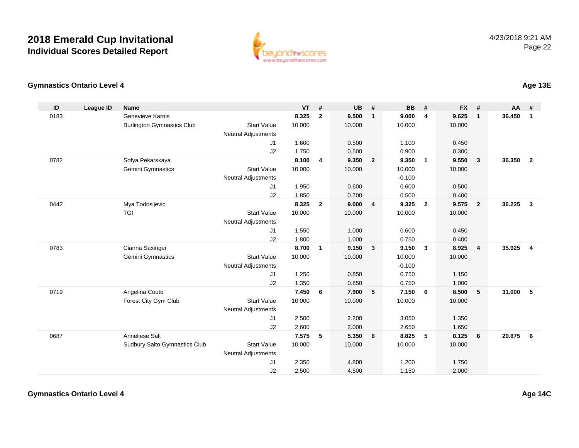

### **Gymnastics Ontario Level 4**

| ID   | <b>League ID</b> | <b>Name</b>                       |                            | <b>VT</b> | #            | <b>UB</b> | #                       | <b>BB</b> | #              | <b>FX</b> | #              | <b>AA</b> | #              |
|------|------------------|-----------------------------------|----------------------------|-----------|--------------|-----------|-------------------------|-----------|----------------|-----------|----------------|-----------|----------------|
| 0183 |                  | Genevieve Karnis                  |                            | 8.325     | $\mathbf{2}$ | 9.500     | $\mathbf{1}$            | 9.000     | $\overline{4}$ | 9.625     | $\mathbf{1}$   | 36.450    | $\mathbf{1}$   |
|      |                  | <b>Burlington Gymnastics Club</b> | <b>Start Value</b>         | 10.000    |              | 10.000    |                         | 10.000    |                | 10.000    |                |           |                |
|      |                  |                                   | <b>Neutral Adjustments</b> |           |              |           |                         |           |                |           |                |           |                |
|      |                  |                                   | J1                         | 1.600     |              | 0.500     |                         | 1.100     |                | 0.450     |                |           |                |
|      |                  |                                   | J2                         | 1.750     |              | 0.500     |                         | 0.900     |                | 0.300     |                |           |                |
| 0782 |                  | Sofya Pekarskaya                  |                            | 8.100     | 4            | 9.350     | $\overline{\mathbf{2}}$ | 9.350     | $\overline{1}$ | 9.550     | 3              | 36.350    | $\overline{2}$ |
|      |                  | Gemini Gymnastics                 | <b>Start Value</b>         | 10.000    |              | 10.000    |                         | 10.000    |                | 10.000    |                |           |                |
|      |                  |                                   | Neutral Adjustments        |           |              |           |                         | $-0.100$  |                |           |                |           |                |
|      |                  |                                   | J1                         | 1.950     |              | 0.600     |                         | 0.600     |                | 0.500     |                |           |                |
|      |                  |                                   | J2                         | 1.850     |              | 0.700     |                         | 0.500     |                | 0.400     |                |           |                |
| 0442 |                  | Mya Todosijevic                   |                            | 8.325     | $\mathbf{2}$ | 9.000     | $\overline{4}$          | 9.325     | $\overline{2}$ | 9.575     | $\overline{2}$ | 36.225    | $\mathbf{3}$   |
|      |                  | <b>TGI</b>                        | <b>Start Value</b>         | 10.000    |              | 10.000    |                         | 10.000    |                | 10.000    |                |           |                |
|      |                  |                                   | <b>Neutral Adjustments</b> |           |              |           |                         |           |                |           |                |           |                |
|      |                  |                                   | J1                         | 1.550     |              | 1.000     |                         | 0.600     |                | 0.450     |                |           |                |
|      |                  |                                   | J2                         | 1.800     |              | 1.000     |                         | 0.750     |                | 0.400     |                |           |                |
| 0783 |                  | Cianna Saxinger                   |                            | 8.700     | $\mathbf{1}$ | 9.150     | $\overline{\mathbf{3}}$ | 9.150     | 3              | 8.925     | 4              | 35.925    | 4              |
|      |                  | Gemini Gymnastics                 | <b>Start Value</b>         | 10.000    |              | 10.000    |                         | 10.000    |                | 10.000    |                |           |                |
|      |                  |                                   | <b>Neutral Adjustments</b> |           |              |           |                         | $-0.100$  |                |           |                |           |                |
|      |                  |                                   | J1                         | 1.250     |              | 0.850     |                         | 0.750     |                | 1.150     |                |           |                |
|      |                  |                                   | J2                         | 1.350     |              | 0.850     |                         | 0.750     |                | 1.000     |                |           |                |
| 0719 |                  | Angelina Couto                    |                            | 7.450     | 6            | 7.900     | $-5$                    | 7.150     | 6              | 8.500     | 5              | 31.000    | 5              |
|      |                  | Forest City Gym Club              | <b>Start Value</b>         | 10.000    |              | 10.000    |                         | 10.000    |                | 10.000    |                |           |                |
|      |                  |                                   | <b>Neutral Adjustments</b> |           |              |           |                         |           |                |           |                |           |                |
|      |                  |                                   | J1                         | 2.500     |              | 2.200     |                         | 3.050     |                | 1.350     |                |           |                |
|      |                  |                                   | J2                         | 2.600     |              | 2.000     |                         | 2.650     |                | 1.650     |                |           |                |
| 0687 |                  | Anneliese Salt                    |                            | 7.575     | 5            | 5.350     | 6                       | 8.825     | 5              | 8.125     | 6              | 29.875    | 6              |
|      |                  | Sudbury Salto Gymnastics Club     | <b>Start Value</b>         | 10.000    |              | 10.000    |                         | 10.000    |                | 10.000    |                |           |                |
|      |                  |                                   | <b>Neutral Adjustments</b> |           |              |           |                         |           |                |           |                |           |                |
|      |                  |                                   | J1                         | 2.350     |              | 4.800     |                         | 1.200     |                | 1.750     |                |           |                |
|      |                  |                                   | J2                         | 2.500     |              | 4.500     |                         | 1.150     |                | 2.000     |                |           |                |

**Age 13E**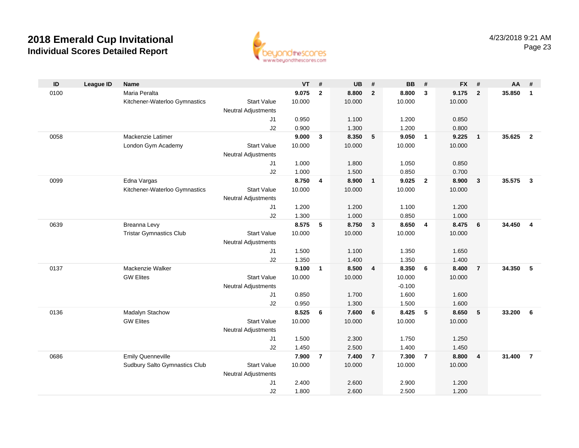

| ID   | League ID | <b>Name</b>                    |                            | $VT$ #         |                | <b>UB</b>      | #                       | <b>BB</b>      | #              | FX #           |                         | AA     | #                       |
|------|-----------|--------------------------------|----------------------------|----------------|----------------|----------------|-------------------------|----------------|----------------|----------------|-------------------------|--------|-------------------------|
| 0100 |           | Maria Peralta                  |                            | 9.075          | $\overline{2}$ | 8.800          | $\overline{2}$          | 8.800          | $\mathbf{3}$   | 9.175          | $\overline{\mathbf{2}}$ | 35.850 | $\overline{1}$          |
|      |           | Kitchener-Waterloo Gymnastics  | <b>Start Value</b>         | 10.000         |                | 10.000         |                         | 10.000         |                | 10.000         |                         |        |                         |
|      |           |                                | <b>Neutral Adjustments</b> |                |                |                |                         |                |                |                |                         |        |                         |
|      |           |                                | J1                         | 0.950          |                | 1.100          |                         | 1.200          |                | 0.850          |                         |        |                         |
|      |           |                                | J2                         | 0.900          |                | 1.300          |                         | 1.200          |                | 0.800          |                         |        |                         |
| 0058 |           | Mackenzie Latimer              |                            | 9.000          | 3              | 8.350          | 5                       | 9.050          | $\overline{1}$ | 9.225          | $\overline{1}$          | 35.625 | $\overline{2}$          |
|      |           | London Gym Academy             | <b>Start Value</b>         | 10.000         |                | 10.000         |                         | 10.000         |                | 10.000         |                         |        |                         |
|      |           |                                | <b>Neutral Adjustments</b> |                |                |                |                         |                |                |                |                         |        |                         |
|      |           |                                | J1                         | 1.000          |                | 1.800          |                         | 1.050          |                | 0.850          |                         |        |                         |
|      |           |                                | J2                         | 1.000          |                | 1.500          |                         | 0.850          |                | 0.700          |                         |        |                         |
| 0099 |           | Edna Vargas                    |                            | 8.750          | 4              | 8.900          | $\mathbf{1}$            | 9.025          | $\overline{2}$ | 8.900          | $\mathbf{3}$            | 35.575 | $\mathbf{3}$            |
|      |           | Kitchener-Waterloo Gymnastics  | <b>Start Value</b>         | 10.000         |                | 10.000         |                         | 10.000         |                | 10.000         |                         |        |                         |
|      |           |                                | <b>Neutral Adjustments</b> |                |                |                |                         |                |                |                |                         |        |                         |
|      |           |                                | J1<br>J2                   | 1.200<br>1.300 |                | 1.200<br>1.000 |                         | 1.100<br>0.850 |                | 1.200<br>1.000 |                         |        |                         |
| 0639 |           | Breanna Levy                   |                            | 8.575          | 5              | 8.750          | $\mathbf{3}$            | 8.650          | 4              | 8.475          | $6\phantom{1}6$         | 34.450 | $\overline{\mathbf{4}}$ |
|      |           | <b>Tristar Gymnastics Club</b> | <b>Start Value</b>         | 10.000         |                | 10.000         |                         | 10.000         |                | 10.000         |                         |        |                         |
|      |           |                                | <b>Neutral Adjustments</b> |                |                |                |                         |                |                |                |                         |        |                         |
|      |           |                                | J <sub>1</sub>             | 1.500          |                | 1.100          |                         | 1.350          |                | 1.650          |                         |        |                         |
|      |           |                                | J2                         | 1.350          |                | 1.400          |                         | 1.350          |                | 1.400          |                         |        |                         |
| 0137 |           | Mackenzie Walker               |                            | 9.100          | $\mathbf{1}$   | 8.500          | $\overline{\mathbf{4}}$ | 8.350          | 6              | 8.400          | $\overline{7}$          | 34.350 | - 5                     |
|      |           | <b>GW Elites</b>               | <b>Start Value</b>         | 10.000         |                | 10.000         |                         | 10.000         |                | 10.000         |                         |        |                         |
|      |           |                                | <b>Neutral Adjustments</b> |                |                |                |                         | $-0.100$       |                |                |                         |        |                         |
|      |           |                                | J1                         | 0.850          |                | 1.700          |                         | 1.600          |                | 1.600          |                         |        |                         |
|      |           |                                | J2                         | 0.950          |                | 1.300          |                         | 1.500          |                | 1.600          |                         |        |                         |
| 0136 |           | Madalyn Stachow                |                            | 8.525          | 6              | 7.600          | 6                       | 8.425          | 5              | 8.650          | 5                       | 33.200 | - 6                     |
|      |           | <b>GW Elites</b>               | <b>Start Value</b>         | 10.000         |                | 10.000         |                         | 10.000         |                | 10.000         |                         |        |                         |
|      |           |                                | <b>Neutral Adjustments</b> |                |                |                |                         |                |                |                |                         |        |                         |
|      |           |                                | J1                         | 1.500          |                | 2.300          |                         | 1.750          |                | 1.250          |                         |        |                         |
|      |           |                                | J2                         | 1.450          |                | 2.500          |                         | 1.400          |                | 1.450          |                         |        |                         |
| 0686 |           | <b>Emily Quenneville</b>       |                            | 7.900          | $\overline{7}$ | 7.400          | $\overline{7}$          | 7.300          | $\overline{7}$ | 8.800          | $\overline{4}$          | 31.400 | $\overline{7}$          |
|      |           | Sudbury Salto Gymnastics Club  | <b>Start Value</b>         | 10.000         |                | 10.000         |                         | 10.000         |                | 10.000         |                         |        |                         |
|      |           |                                | <b>Neutral Adjustments</b> |                |                |                |                         |                |                |                |                         |        |                         |
|      |           |                                | J <sub>1</sub>             | 2.400          |                | 2.600          |                         | 2.900          |                | 1.200          |                         |        |                         |
|      |           |                                | J2                         | 1.800          |                | 2.600          |                         | 2.500          |                | 1.200          |                         |        |                         |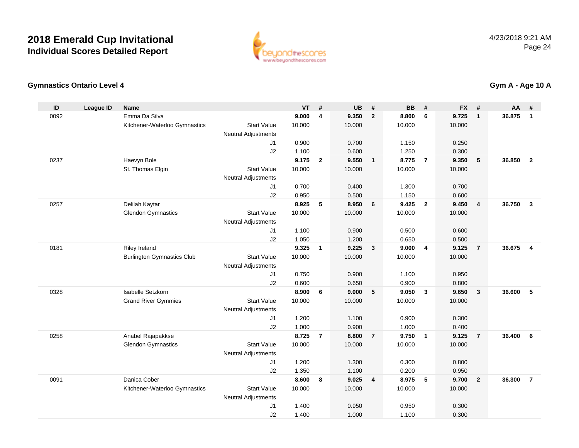

### **Gymnastics Ontario Level 4**

| ID   | <b>League ID</b> | <b>Name</b>                       |                            | <b>VT</b>      | #                       | <b>UB</b>      | #                        | <b>BB</b>      | #              | <b>FX</b>      | #              | AA     | #              |
|------|------------------|-----------------------------------|----------------------------|----------------|-------------------------|----------------|--------------------------|----------------|----------------|----------------|----------------|--------|----------------|
| 0092 |                  | Emma Da Silva                     |                            | 9.000          | $\overline{\mathbf{4}}$ | 9.350          | $\overline{2}$           | 8.800          | 6              | 9.725          | $\mathbf{1}$   | 36.875 | $\mathbf{1}$   |
|      |                  | Kitchener-Waterloo Gymnastics     | <b>Start Value</b>         | 10.000         |                         | 10.000         |                          | 10.000         |                | 10.000         |                |        |                |
|      |                  |                                   | <b>Neutral Adjustments</b> |                |                         |                |                          |                |                |                |                |        |                |
|      |                  |                                   | J <sub>1</sub>             | 0.900          |                         | 0.700          |                          | 1.150          |                | 0.250          |                |        |                |
|      |                  |                                   | J2                         | 1.100          |                         | 0.600          |                          | 1.250          |                | 0.300          |                |        |                |
| 0237 |                  | Haevyn Bole                       |                            | 9.175          | $\overline{2}$          | 9.550          | $\overline{\phantom{0}}$ | 8.775          | $\overline{7}$ | 9.350          | 5              | 36.850 | $\overline{2}$ |
|      |                  | St. Thomas Elgin                  | <b>Start Value</b>         | 10.000         |                         | 10.000         |                          | 10.000         |                | 10.000         |                |        |                |
|      |                  |                                   | <b>Neutral Adjustments</b> |                |                         |                |                          |                |                |                |                |        |                |
|      |                  |                                   | J1                         | 0.700          |                         | 0.400          |                          | 1.300          |                | 0.700          |                |        |                |
|      |                  |                                   | J2                         | 0.950          |                         | 0.500          |                          | 1.150          |                | 0.600          |                |        |                |
| 0257 |                  | Delilah Kaytar                    |                            | 8.925          | 5                       | 8.950          | 6                        | 9.425          | $\overline{2}$ | 9.450          | $\overline{4}$ | 36.750 | $\mathbf{3}$   |
|      |                  | <b>Glendon Gymnastics</b>         | <b>Start Value</b>         | 10.000         |                         | 10.000         |                          | 10.000         |                | 10.000         |                |        |                |
|      |                  |                                   | <b>Neutral Adjustments</b> |                |                         |                |                          |                |                |                |                |        |                |
|      |                  |                                   | J1                         | 1.100          |                         | 0.900          |                          | 0.500          |                | 0.600          |                |        |                |
|      |                  |                                   | J2                         | 1.050          |                         | 1.200          |                          | 0.650          |                | 0.500          |                |        |                |
| 0181 |                  | <b>Riley Ireland</b>              |                            | 9.325          | $\mathbf{1}$            | 9.225          | $\overline{\mathbf{3}}$  | 9.000          | $\overline{4}$ | 9.125          | $\overline{7}$ | 36.675 | $\overline{4}$ |
|      |                  | <b>Burlington Gymnastics Club</b> | <b>Start Value</b>         | 10.000         |                         | 10.000         |                          | 10.000         |                | 10.000         |                |        |                |
|      |                  |                                   | <b>Neutral Adjustments</b> |                |                         |                |                          |                |                |                |                |        |                |
|      |                  |                                   | J1                         | 0.750          |                         | 0.900          |                          | 1.100          |                | 0.950          |                |        |                |
|      |                  |                                   | J2                         | 0.600          |                         | 0.650          |                          | 0.900          |                | 0.800          |                |        |                |
| 0328 |                  | <b>Isabelle Setzkorn</b>          |                            | 8.900          | 6                       | 9.000          | $\sqrt{5}$               | 9.050          | $\mathbf{3}$   | 9.650          | $\mathbf{3}$   | 36,600 | 5              |
|      |                  | <b>Grand River Gymmies</b>        | <b>Start Value</b>         | 10.000         |                         | 10.000         |                          | 10.000         |                | 10.000         |                |        |                |
|      |                  |                                   | <b>Neutral Adjustments</b> |                |                         |                |                          |                |                |                |                |        |                |
|      |                  |                                   | J1                         | 1.200          |                         | 1.100          |                          | 0.900          |                | 0.300          |                |        |                |
|      |                  |                                   | J2                         | 1.000          |                         | 0.900          |                          | 1.000          |                | 0.400          |                |        |                |
| 0258 |                  | Anabel Rajapakkse                 |                            | 8.725          | $\overline{7}$          | 8.800          | $\overline{7}$           | 9.750          | $\overline{1}$ | 9.125          | $\overline{7}$ | 36,400 | 6              |
|      |                  | <b>Glendon Gymnastics</b>         | <b>Start Value</b>         | 10.000         |                         | 10.000         |                          | 10.000         |                | 10.000         |                |        |                |
|      |                  |                                   | <b>Neutral Adjustments</b> |                |                         |                |                          |                |                |                |                |        |                |
|      |                  |                                   | J1<br>J2                   | 1.200          |                         | 1.300<br>1.100 |                          | 0.300<br>0.200 |                | 0.800          |                |        |                |
| 0091 |                  | Danica Cober                      |                            | 1.350<br>8.600 | 8                       | 9.025          | $\overline{4}$           | 8.975          | 5              | 0.950<br>9.700 | $\overline{2}$ | 36.300 | $\overline{7}$ |
|      |                  |                                   | <b>Start Value</b>         | 10.000         |                         | 10.000         |                          | 10.000         |                | 10.000         |                |        |                |
|      |                  | Kitchener-Waterloo Gymnastics     | <b>Neutral Adjustments</b> |                |                         |                |                          |                |                |                |                |        |                |
|      |                  |                                   | J <sub>1</sub>             | 1.400          |                         | 0.950          |                          | 0.950          |                | 0.300          |                |        |                |
|      |                  |                                   | J2                         | 1.400          |                         | 1.000          |                          | 1.100          |                | 0.300          |                |        |                |
|      |                  |                                   |                            |                |                         |                |                          |                |                |                |                |        |                |

**Gym A - Age 10 A**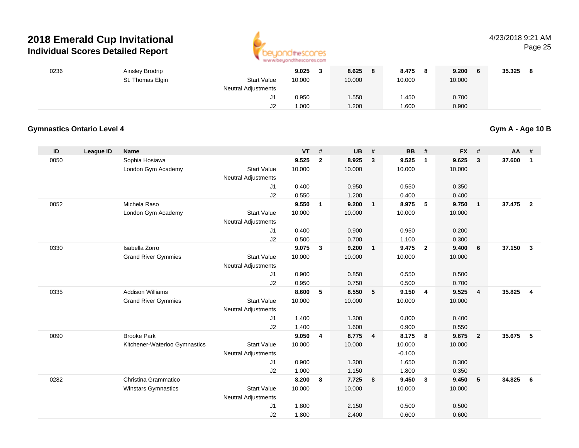

#### 4/23/2018 9:21 AMPage 25

| 0236 | Ainsley Brodrip  |                            | 9.025  | 8.625<br>8 | 8.475  | 9.200<br>- 6 | 35.325 |
|------|------------------|----------------------------|--------|------------|--------|--------------|--------|
|      | St. Thomas Elgin | <b>Start Value</b>         | 10.000 | 10.000     | 10.000 | 10.000       |        |
|      |                  | <b>Neutral Adjustments</b> |        |            |        |              |        |
|      |                  |                            | 0.950  | 1.550      | 1.450  | 0.700        |        |
|      |                  | J2                         | 1.000  | 1.200      | 1.600  | 0.900        |        |

### **Gymnastics Ontario Level 4**

**Gym A - Age 10 B**

| ID   | League ID | <b>Name</b>                   |                            | <b>VT</b> | #              | <b>UB</b> | #              | <b>BB</b> | #              | <b>FX</b> | #               | AA     | #              |
|------|-----------|-------------------------------|----------------------------|-----------|----------------|-----------|----------------|-----------|----------------|-----------|-----------------|--------|----------------|
| 0050 |           | Sophia Hosiawa                |                            | 9.525     | $\overline{2}$ | 8.925     | $\mathbf{3}$   | 9.525     | $\mathbf{1}$   | 9.625     | 3               | 37.600 | $\mathbf{1}$   |
|      |           | London Gym Academy            | <b>Start Value</b>         | 10.000    |                | 10.000    |                | 10.000    |                | 10.000    |                 |        |                |
|      |           |                               | <b>Neutral Adjustments</b> |           |                |           |                |           |                |           |                 |        |                |
|      |           |                               | J1                         | 0.400     |                | 0.950     |                | 0.550     |                | 0.350     |                 |        |                |
|      |           |                               | J2                         | 0.550     |                | 1.200     |                | 0.400     |                | 0.400     |                 |        |                |
| 0052 |           | Michela Raso                  |                            | 9.550     | $\mathbf{1}$   | 9.200     | $\mathbf{1}$   | 8.975     | 5              | 9.750     | $\overline{1}$  | 37.475 | $\overline{2}$ |
|      |           | London Gym Academy            | <b>Start Value</b>         | 10.000    |                | 10.000    |                | 10.000    |                | 10.000    |                 |        |                |
|      |           |                               | <b>Neutral Adjustments</b> |           |                |           |                |           |                |           |                 |        |                |
|      |           |                               | J1                         | 0.400     |                | 0.900     |                | 0.950     |                | 0.200     |                 |        |                |
|      |           |                               | J2                         | 0.500     |                | 0.700     |                | 1.100     |                | 0.300     |                 |        |                |
| 0330 |           | Isabella Zorro                |                            | 9.075     | 3              | 9.200     | $\mathbf{1}$   | 9.475     | $\overline{2}$ | 9.400     | 6               | 37.150 | $\mathbf{3}$   |
|      |           | <b>Grand River Gymmies</b>    | <b>Start Value</b>         | 10.000    |                | 10.000    |                | 10.000    |                | 10.000    |                 |        |                |
|      |           |                               | <b>Neutral Adjustments</b> |           |                |           |                |           |                |           |                 |        |                |
|      |           |                               | J <sub>1</sub>             | 0.900     |                | 0.850     |                | 0.550     |                | 0.500     |                 |        |                |
|      |           |                               | J2                         | 0.950     |                | 0.750     |                | 0.500     |                | 0.700     |                 |        |                |
| 0335 |           | <b>Addison Williams</b>       |                            | 8.600     | 5              | 8.550     | 5              | 9.150     | $\overline{4}$ | 9.525     | $\overline{4}$  | 35.825 | $\overline{4}$ |
|      |           | <b>Grand River Gymmies</b>    | <b>Start Value</b>         | 10.000    |                | 10.000    |                | 10.000    |                | 10.000    |                 |        |                |
|      |           |                               | <b>Neutral Adjustments</b> |           |                |           |                |           |                |           |                 |        |                |
|      |           |                               | J1                         | 1.400     |                | 1.300     |                | 0.800     |                | 0.400     |                 |        |                |
|      |           |                               | J2                         | 1.400     |                | 1.600     |                | 0.900     |                | 0.550     |                 |        |                |
| 0090 |           | <b>Brooke Park</b>            |                            | 9.050     | 4              | 8.775     | $\overline{4}$ | 8.175     | 8              | 9.675     | $\overline{2}$  | 35.675 | 5              |
|      |           | Kitchener-Waterloo Gymnastics | <b>Start Value</b>         | 10.000    |                | 10.000    |                | 10.000    |                | 10.000    |                 |        |                |
|      |           |                               | <b>Neutral Adjustments</b> |           |                |           |                | $-0.100$  |                |           |                 |        |                |
|      |           |                               | J1                         | 0.900     |                | 1.300     |                | 1.650     |                | 0.300     |                 |        |                |
|      |           |                               | J2                         | 1.000     |                | 1.150     |                | 1.800     |                | 0.350     |                 |        |                |
| 0282 |           | Christina Grammatico          |                            | 8.200     | 8              | 7.725     | 8              | 9.450     | $\mathbf{3}$   | 9.450     | $5\phantom{.0}$ | 34.825 | 6              |
|      |           | <b>Winstars Gymnastics</b>    | <b>Start Value</b>         | 10.000    |                | 10.000    |                | 10.000    |                | 10.000    |                 |        |                |
|      |           |                               | <b>Neutral Adjustments</b> |           |                |           |                |           |                |           |                 |        |                |
|      |           |                               | J <sub>1</sub>             | 1.800     |                | 2.150     |                | 0.500     |                | 0.500     |                 |        |                |
|      |           |                               | J2                         | 1.800     |                | 2.400     |                | 0.600     |                | 0.600     |                 |        |                |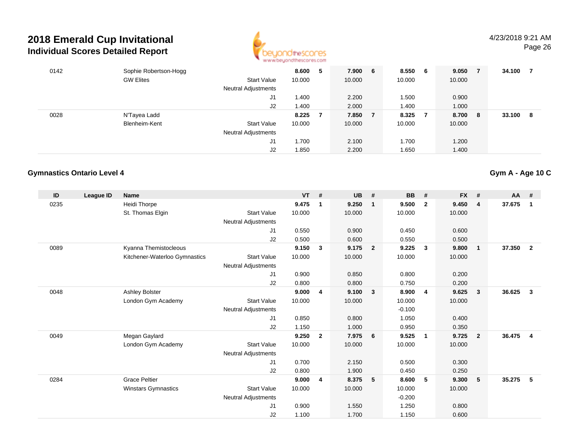

| 0142 | Sophie Robertson-Hogg |                     | 8.600  | 5 | 7.900  | 6 | 8.550  | - 6 | 9.050  | $\overline{7}$ | 34.100 |    |
|------|-----------------------|---------------------|--------|---|--------|---|--------|-----|--------|----------------|--------|----|
|      | <b>GW Elites</b>      | <b>Start Value</b>  | 10.000 |   | 10.000 |   | 10.000 |     | 10.000 |                |        |    |
|      |                       | Neutral Adjustments |        |   |        |   |        |     |        |                |        |    |
|      |                       | J1                  | 1.400  |   | 2.200  |   | 1.500  |     | 0.900  |                |        |    |
|      |                       | J2                  | 1.400  |   | 2.000  |   | 1.400  |     | 1.000  |                |        |    |
| 0028 | N'Tayea Ladd          |                     | 8.225  | 7 | 7.850  |   | 8.325  | - 7 | 8.700  | -8             | 33.100 | -8 |
|      | Blenheim-Kent         | <b>Start Value</b>  | 10.000 |   | 10.000 |   | 10.000 |     | 10.000 |                |        |    |
|      |                       | Neutral Adjustments |        |   |        |   |        |     |        |                |        |    |
|      |                       | J1                  | 1.700  |   | 2.100  |   | 1.700  |     | 1.200  |                |        |    |
|      |                       | J2                  | 1.850  |   | 2.200  |   | 1.650  |     | 1.400  |                |        |    |

### **Gymnastics Ontario Level 4**

| ID   | League ID | <b>Name</b>                   |                            | <b>VT</b> | #              | <b>UB</b> | #                       | <b>BB</b> | #                       | <b>FX</b> | #                       | <b>AA</b> | #                       |
|------|-----------|-------------------------------|----------------------------|-----------|----------------|-----------|-------------------------|-----------|-------------------------|-----------|-------------------------|-----------|-------------------------|
| 0235 |           | <b>Heidi Thorpe</b>           |                            | 9.475     | 1              | 9.250     | $\overline{1}$          | 9.500     | $\overline{2}$          | 9.450     | 4                       | 37.675    | $\mathbf{1}$            |
|      |           | St. Thomas Elgin              | <b>Start Value</b>         | 10.000    |                | 10.000    |                         | 10.000    |                         | 10.000    |                         |           |                         |
|      |           |                               | Neutral Adjustments        |           |                |           |                         |           |                         |           |                         |           |                         |
|      |           |                               | J1                         | 0.550     |                | 0.900     |                         | 0.450     |                         | 0.600     |                         |           |                         |
|      |           |                               | J2                         | 0.500     |                | 0.600     |                         | 0.550     |                         | 0.500     |                         |           |                         |
| 0089 |           | Kyanna Themistocleous         |                            | 9.150     | 3              | 9.175     | $\overline{\mathbf{2}}$ | 9.225     | $\overline{\mathbf{3}}$ | 9.800     | $\overline{1}$          | 37.350    | $\mathbf{2}$            |
|      |           | Kitchener-Waterloo Gymnastics | <b>Start Value</b>         | 10.000    |                | 10.000    |                         | 10.000    |                         | 10.000    |                         |           |                         |
|      |           |                               | <b>Neutral Adjustments</b> |           |                |           |                         |           |                         |           |                         |           |                         |
|      |           |                               | J1                         | 0.900     |                | 0.850     |                         | 0.800     |                         | 0.200     |                         |           |                         |
|      |           |                               | J2                         | 0.800     |                | 0.800     |                         | 0.750     |                         | 0.200     |                         |           |                         |
| 0048 |           | <b>Ashley Bolster</b>         |                            | 9.000     | 4              | 9.100     | $\overline{\mathbf{3}}$ | 8.900     | $\overline{4}$          | 9.625     | $\overline{\mathbf{3}}$ | 36.625    | $\mathbf{3}$            |
|      |           | London Gym Academy            | <b>Start Value</b>         | 10.000    |                | 10.000    |                         | 10.000    |                         | 10.000    |                         |           |                         |
|      |           |                               | <b>Neutral Adjustments</b> |           |                |           |                         | $-0.100$  |                         |           |                         |           |                         |
|      |           |                               | J1                         | 0.850     |                | 0.800     |                         | 1.050     |                         | 0.400     |                         |           |                         |
|      |           |                               | J2                         | 1.150     |                | 1.000     |                         | 0.950     |                         | 0.350     |                         |           |                         |
| 0049 |           | Megan Gaylard                 |                            | 9.250     | $\overline{2}$ | 7.975     | $6\overline{6}$         | 9.525     | $\overline{1}$          | 9.725     | $\overline{2}$          | 36.475    | $\overline{\mathbf{4}}$ |
|      |           | London Gym Academy            | <b>Start Value</b>         | 10.000    |                | 10.000    |                         | 10.000    |                         | 10.000    |                         |           |                         |
|      |           |                               | <b>Neutral Adjustments</b> |           |                |           |                         |           |                         |           |                         |           |                         |
|      |           |                               | J1                         | 0.700     |                | 2.150     |                         | 0.500     |                         | 0.300     |                         |           |                         |
|      |           |                               | J2                         | 0.800     |                | 1.900     |                         | 0.450     |                         | 0.250     |                         |           |                         |
| 0284 |           | <b>Grace Peltier</b>          |                            | 9.000     | 4              | 8.375     | 5                       | 8.600     | 5                       | 9.300     | 5                       | 35.275    | -5                      |
|      |           | <b>Winstars Gymnastics</b>    | <b>Start Value</b>         | 10.000    |                | 10.000    |                         | 10.000    |                         | 10.000    |                         |           |                         |
|      |           |                               | <b>Neutral Adjustments</b> |           |                |           |                         | $-0.200$  |                         |           |                         |           |                         |
|      |           |                               | J1                         | 0.900     |                | 1.550     |                         | 1.250     |                         | 0.800     |                         |           |                         |
|      |           |                               | J2                         | 1.100     |                | 1.700     |                         | 1.150     |                         | 0.600     |                         |           |                         |

**Gym A - Age 10 C**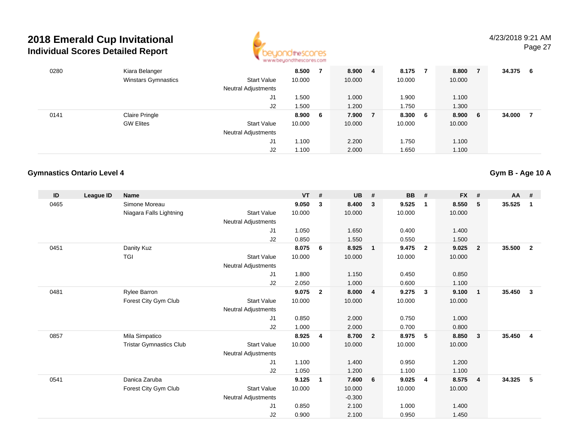

| 0280 | Kiara Belanger             |                            | 8.500  |     | 8.900  | 4 | 8.175  |     | 8.800  | -7  | 34.375 | -6 |
|------|----------------------------|----------------------------|--------|-----|--------|---|--------|-----|--------|-----|--------|----|
|      | <b>Winstars Gymnastics</b> | <b>Start Value</b>         | 10.000 |     | 10.000 |   | 10.000 |     | 10.000 |     |        |    |
|      |                            | Neutral Adjustments        |        |     |        |   |        |     |        |     |        |    |
|      |                            | J1                         | .500   |     | 1.000  |   | 1.900  |     | 1.100  |     |        |    |
|      |                            | J2                         | 1.500  |     | 1.200  |   | 1.750  |     | 1.300  |     |        |    |
| 0141 | <b>Claire Pringle</b>      |                            | 8.900  | - 6 | 7.900  | 7 | 8.300  | - 6 | 8.900  | - 6 | 34.000 |    |
|      | <b>GW Elites</b>           | <b>Start Value</b>         | 10.000 |     | 10.000 |   | 10.000 |     | 10.000 |     |        |    |
|      |                            | <b>Neutral Adjustments</b> |        |     |        |   |        |     |        |     |        |    |
|      |                            | J1                         | 1.100  |     | 2.200  |   | 1.750  |     | 1.100  |     |        |    |
|      |                            | J2                         | 1.100  |     | 2.000  |   | 1.650  |     | 1.100  |     |        |    |

#### **Gymnastics Ontario Level 4**

**ID League ID Name VT # UB # BB # FX # AA #** 0465 Simone Moreau **9.050 <sup>3</sup> 8.400 <sup>3</sup> 9.525 <sup>1</sup> 8.550 <sup>5</sup> 35.525 <sup>1</sup>** Niagara Falls Lightning Start Value 10.000 10.000 10.000 10.000 Neutral Adjustments J1 1.050 1.650 0.400 1.400 J2 0.850 1.550 0.550 1.500 0451 Danity Kuz **8.075 <sup>6</sup> 8.925 <sup>1</sup> 9.475 <sup>2</sup> 9.025 <sup>2</sup> 35.500 <sup>2</sup>** TGI Start Valuee 10.000 10.000 10.000 10.000 Neutral Adjustments J1 1.800 1.150 0.450 0.850 J2 2.050 1.000 0.600 1.100 0481 Rylee Barron **9.075 <sup>2</sup> 8.000 <sup>4</sup> 9.275 <sup>3</sup> 9.100 <sup>1</sup> 35.450 <sup>3</sup>** Forest City Gym Club Start Value 10.000 10.000 10.000 10.000 Neutral Adjustments J1 0.850 2.000 0.750 1.000 J2 1.000 2.000 0.700 0.800 0857 Mila Simpatico **8.925 <sup>4</sup> 8.700 <sup>2</sup> 8.975 <sup>5</sup> 8.850 <sup>3</sup> 35.450 <sup>4</sup>** Tristar Gymnastics Clubb 3tart Value 10.000 10.000 10.000 10.000 10.000 Neutral Adjustments J1 1.100 1.400 0.950 1.200 J2 1.050 1.200 1.100 1.100 0541 Danica Zaruba **9.125 <sup>1</sup> 7.600 <sup>6</sup> 9.025 <sup>4</sup> 8.575 <sup>4</sup> 34.325 <sup>5</sup>** Forest City Gym Club Start Value 10.000 10.000 10.000 10.000 Neutral Adjustments -0.3002.100 J1 0.850 2.100 1.000 1.400 J20.900 2.100 0.950 1.450

**Gym B - Age 10 A**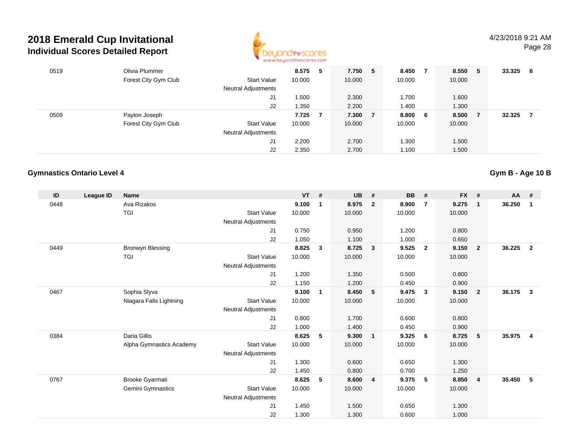

| 0519 | Olivia Plummer       |                            | 8.575  | 5 | 7.750  | 5 | 8.450  |     | 8.550  | -5 | 33.325 | -6 |
|------|----------------------|----------------------------|--------|---|--------|---|--------|-----|--------|----|--------|----|
|      | Forest City Gym Club | <b>Start Value</b>         | 10.000 |   | 10.000 |   | 10.000 |     | 10.000 |    |        |    |
|      |                      | <b>Neutral Adjustments</b> |        |   |        |   |        |     |        |    |        |    |
|      |                      | J1                         | .500   |   | 2.300  |   | 1.700  |     | 1.600  |    |        |    |
|      |                      | J2                         | 1.350  |   | 2.200  |   | 1.400  |     | 1.300  |    |        |    |
| 0509 | Payton Joseph        |                            | 7.725  |   | 7.300  |   | 8.800  | - 6 | 8.500  |    | 32.325 |    |
|      | Forest City Gym Club | <b>Start Value</b>         | 10.000 |   | 10.000 |   | 10.000 |     | 10.000 |    |        |    |
|      |                      | <b>Neutral Adjustments</b> |        |   |        |   |        |     |        |    |        |    |
|      |                      | J1                         | 2.200  |   | 2.700  |   | 1.300  |     | 1.500  |    |        |    |
|      |                      | J2                         | 2.350  |   | 2.700  |   | 1.100  |     | 1.500  |    |        |    |

### **Gymnastics Ontario Level 4**

| ID   | League ID | <b>Name</b>              |                            | <b>VT</b> | #           | UB     | #                       | <b>BB</b> | #                       | <b>FX</b> | #                       | $AA$ # |                |
|------|-----------|--------------------------|----------------------------|-----------|-------------|--------|-------------------------|-----------|-------------------------|-----------|-------------------------|--------|----------------|
| 0448 |           | Ava Rizakos              |                            | 9.100     | $\mathbf 1$ | 8.975  | $\overline{2}$          | 8.900     | $\overline{7}$          | 9.275     | $\overline{1}$          | 36.250 | $\mathbf{1}$   |
|      |           | <b>TGI</b>               | <b>Start Value</b>         | 10.000    |             | 10.000 |                         | 10.000    |                         | 10.000    |                         |        |                |
|      |           |                          | <b>Neutral Adjustments</b> |           |             |        |                         |           |                         |           |                         |        |                |
|      |           |                          | J <sub>1</sub>             | 0.750     |             | 0.950  |                         | 1.200     |                         | 0.800     |                         |        |                |
|      |           |                          | J <sub>2</sub>             | 1.050     |             | 1.100  |                         | 1.000     |                         | 0.650     |                         |        |                |
| 0449 |           | Bronwyn Blessing         |                            | 8.825     | 3           | 8.725  | $\overline{\mathbf{3}}$ | 9.525     | $\overline{\mathbf{2}}$ | 9.150     | $\overline{\mathbf{2}}$ | 36.225 | $\overline{2}$ |
|      |           | <b>TGI</b>               | <b>Start Value</b>         | 10.000    |             | 10.000 |                         | 10.000    |                         | 10.000    |                         |        |                |
|      |           |                          | <b>Neutral Adjustments</b> |           |             |        |                         |           |                         |           |                         |        |                |
|      |           |                          | J1                         | 1.200     |             | 1.350  |                         | 0.500     |                         | 0.800     |                         |        |                |
|      |           |                          | J2                         | 1.150     |             | 1.200  |                         | 0.450     |                         | 0.900     |                         |        |                |
| 0467 |           | Sophia Slyva             |                            | 9.100     | 1           | 8.450  | 5                       | 9.475     | $\mathbf{3}$            | 9.150     | $\overline{\mathbf{2}}$ | 36.175 | $\mathbf{3}$   |
|      |           | Niagara Falls Lightning  | <b>Start Value</b>         | 10.000    |             | 10.000 |                         | 10.000    |                         | 10.000    |                         |        |                |
|      |           |                          | <b>Neutral Adjustments</b> |           |             |        |                         |           |                         |           |                         |        |                |
|      |           |                          | J <sub>1</sub>             | 0.800     |             | 1.700  |                         | 0.600     |                         | 0.800     |                         |        |                |
|      |           |                          | J2                         | 1.000     |             | 1.400  |                         | 0.450     |                         | 0.900     |                         |        |                |
| 0384 |           | Daria Gillis             |                            | 8.625     | 5           | 9.300  | $\overline{1}$          | 9.325     | - 6                     | 8.725     | 5                       | 35.975 | 4              |
|      |           | Alpha Gymnastics Academy | <b>Start Value</b>         | 10.000    |             | 10.000 |                         | 10.000    |                         | 10.000    |                         |        |                |
|      |           |                          | <b>Neutral Adjustments</b> |           |             |        |                         |           |                         |           |                         |        |                |
|      |           |                          | J1                         | 1.300     |             | 0.600  |                         | 0.650     |                         | 1.300     |                         |        |                |
|      |           |                          | J2                         | 1.450     |             | 0.800  |                         | 0.700     |                         | 1.250     |                         |        |                |
| 0767 |           | Brooke Gyarmati          |                            | 8.625     | 5           | 8.600  | $\overline{4}$          | 9.375     | 5                       | 8.850     | $\overline{4}$          | 35.450 | 5              |
|      |           | Gemini Gymnastics        | <b>Start Value</b>         | 10.000    |             | 10.000 |                         | 10.000    |                         | 10.000    |                         |        |                |
|      |           |                          | <b>Neutral Adjustments</b> |           |             |        |                         |           |                         |           |                         |        |                |
|      |           |                          | J <sub>1</sub>             | 1.450     |             | 1.500  |                         | 0.650     |                         | 1.300     |                         |        |                |
|      |           |                          | J2                         | 1.300     |             | 1.300  |                         | 0.600     |                         | 1.000     |                         |        |                |

**Gym B - Age 10 B**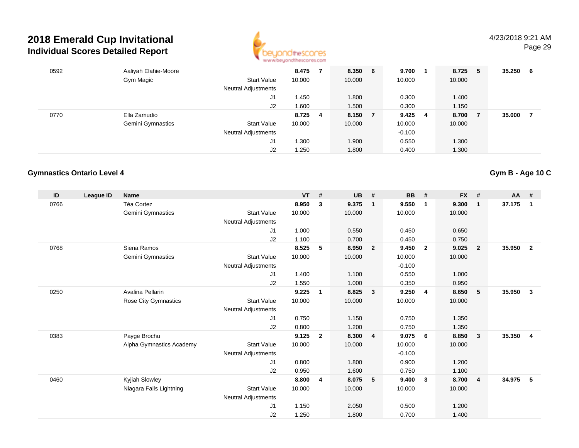

| 0592 | Aaliyah Elahie-Moore |                            | 8.475   | 8.350 6 |     | $9.700$ 1 | 8.725  | - 5 | 35.250 | - 6 |
|------|----------------------|----------------------------|---------|---------|-----|-----------|--------|-----|--------|-----|
|      | Gym Magic            | Start Value                | 10.000  | 10.000  |     | 10.000    | 10.000 |     |        |     |
|      |                      | Neutral Adjustments        |         |         |     |           |        |     |        |     |
|      |                      | J <sub>1</sub>             | 1.450   | 1.800   |     | 0.300     | 1.400  |     |        |     |
|      |                      | J2                         | 1.600   | 1.500   |     | 0.300     | 1.150  |     |        |     |
| 0770 | Ella Zamudio         |                            | 8.725 4 | 8.150   | - 7 | $9.425$ 4 | 8.700  | - 7 | 35.000 |     |
|      | Gemini Gymnastics    | Start Value                | 10.000  | 10.000  |     | 10.000    | 10.000 |     |        |     |
|      |                      | <b>Neutral Adjustments</b> |         |         |     | $-0.100$  |        |     |        |     |
|      |                      | J1                         | 1.300   | 1.900   |     | 0.550     | 1.300  |     |        |     |
|      |                      | J2                         | 1.250   | 1.800   |     | 0.400     | 1.300  |     |        |     |

#### **Gymnastics Ontario Level 4**

**ID League ID Name VT # UB # BB # FX # AA #** 0766 Téa Cortez **8.950 <sup>3</sup> 9.375 <sup>1</sup> 9.550 <sup>1</sup> 9.300 <sup>1</sup> 37.175 <sup>1</sup>** Gemini Gymnastics Start Valuee 10.000 10.000 10.000 10.000 Neutral Adjustments J1 1.000 0.550 0.450 0.650 J2 1.100 0.700 0.450 0.750 0768 Siena Ramos **8.525 <sup>5</sup> 8.950 <sup>2</sup> 9.450 <sup>2</sup> 9.025 <sup>2</sup> 35.950 <sup>2</sup>** Gemini Gymnastics Start Valuee 10.000 10.000 10.000 10.000 Neutral Adjustments $\sim$  -0.100 0.550 J1 1.400 1.100 0.550 1.000 J2 1.550 1.000 0.350 0.950 0250 Avalina Pellarin **9.225 <sup>1</sup> 8.825 <sup>3</sup> 9.250 <sup>4</sup> 8.650 <sup>5</sup> 35.950 <sup>3</sup>** Rose City Gymnastics Start Valuee 10.000 10.000 10.000 10.000 Neutral Adjustments J1 0.750 1.150 0.750 1.350 J2 0.800 1.200 0.750 1.350 0383 Payge Brochu **9.125 <sup>2</sup> 8.300 <sup>4</sup> 9.075 <sup>6</sup> 8.850 <sup>3</sup> 35.350 <sup>4</sup>** Alpha Gymnastics Academy Start Valuee 10.000 10.000 10.000 10.000 Neutral Adjustments $\sim$  -0.100 0.900 J1 0.800 1.800 0.900 1.200 J2 0.950 1.600 0.750 1.100 0460 Kyjiah Slowley **8.800 <sup>4</sup> 8.075 <sup>5</sup> 9.400 <sup>3</sup> 8.700 <sup>4</sup> 34.975 <sup>5</sup>** Niagara Falls Lightning Start Value 10.000 10.000 10.000 10.000 Neutral Adjustments J1 1.150 2.050 0.500 1.200 J21.250 1.800 0.700 1.400

**Gym B - Age 10 C**